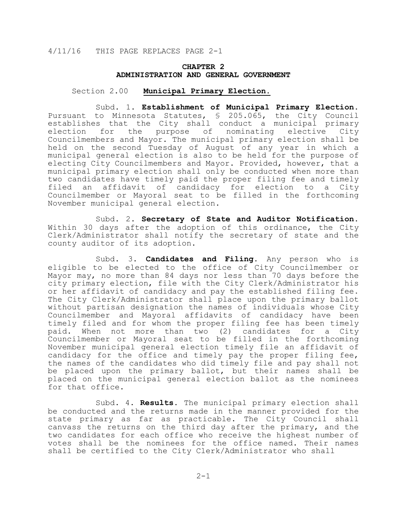## **CHAPTER 2 ADMINISTRATION AND GENERAL GOVERNMENT**

#### Section 2.00 **Municipal Primary Election.**

 Subd. 1. **Establishment of Municipal Primary Election.** Pursuant to Minnesota Statutes, § 205.065, the City Council establishes that the City shall conduct a municipal primary election for the purpose of nominating elective City Councilmembers and Mayor. The municipal primary election shall be held on the second Tuesday of August of any year in which a municipal general election is also to be held for the purpose of electing City Councilmembers and Mayor. Provided, however, that a municipal primary election shall only be conducted when more than two candidates have timely paid the proper filing fee and timely filed an affidavit of candidacy for election to a City Councilmember or Mayoral seat to be filled in the forthcoming November municipal general election.

 Subd. 2. **Secretary of State and Auditor Notification.** Within 30 days after the adoption of this ordinance, the City Clerk/Administrator shall notify the secretary of state and the county auditor of its adoption.

 Subd. 3. **Candidates and Filing.** Any person who is eligible to be elected to the office of City Councilmember or Mayor may, no more than 84 days nor less than 70 days before the city primary election, file with the City Clerk/Administrator his<br>or her affidavit of candidacy and pay the established filing fee. The City Clerk/Administrator shall place upon the primary ballot without partisan designation the names of individuals whose City Councilmember and Mayoral affidavits of candidacy have been timely filed and for whom the proper filing fee has been timely paid. When not more than two (2) candidates for a City Councilmember or Mayoral seat to be filled in the forthcoming November municipal general election timely file an affidavit of candidacy for the office and timely pay the proper filing fee, the names of the candidates who did timely file and pay shall not be placed upon the primary ballot, but their names shall be placed on the municipal general election ballot as the nominees for that office.

 Subd. 4. **Results.** The municipal primary election shall be conducted and the returns made in the manner provided for the state primary as far as practicable. The City Council shall canvass the returns on the third day after the primary, and the two candidates for each office who receive the highest number of votes shall be the nominees for the office named. Their names shall be certified to the City Clerk/Administrator who shall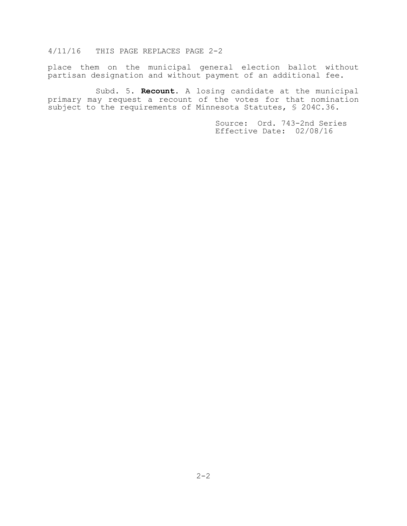place them on the municipal general election ballot without partisan designation and without payment of an additional fee.

 Subd. 5. **Recount.** A losing candidate at the municipal primary may request a recount of the votes for that nomination subject to the requirements of Minnesota Statutes, § 204C.36.

> Source: Ord. 743-2nd Series Effective Date: 02/08/16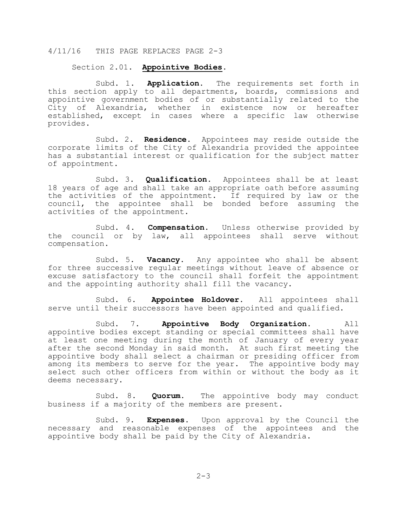#### Section 2.01. **Appointive Bodies.**

 Subd. 1. **Application**. The requirements set forth in this section apply to all departments, boards, commissions and appointive government bodies of or substantially related to the City of Alexandria, whether in existence now or hereafter established, except in cases where a specific law otherwise provides.

 Subd. 2. **Residence**. Appointees may reside outside the corporate limits of the City of Alexandria provided the appointee has a substantial interest or qualification for the subject matter of appointment.

 Subd. 3. **Qualification**. Appointees shall be at least 18 years of age and shall take an appropriate oath before assuming the activities of the appointment. If required by law or the council, the appointee shall be bonded before assuming the activities of the appointment.

 Subd. 4. **Compensation**. Unless otherwise provided by the council or by law, all appointees shall serve without compensation.

 Subd. 5. **Vacancy**. Any appointee who shall be absent for three successive regular meetings without leave of absence or excuse satisfactory to the council shall forfeit the appointment and the appointing authority shall fill the vacancy.

 Subd. 6. **Appointee Holdover**. All appointees shall serve until their successors have been appointed and qualified.

 Subd. 7. **Appointive Body Organization**. All appointive bodies except standing or special committees shall have at least one meeting during the month of January of every year after the second Monday in said month. At such first meeting the appointive body shall select a chairman or presiding officer from among its members to serve for the year. The appointive body may select such other officers from within or without the body as it deems necessary.

 Subd. 8. **Quorum**. The appointive body may conduct business if a majority of the members are present.

 Subd. 9. **Expenses**. Upon approval by the Council the necessary and reasonable expenses of the appointees and the appointive body shall be paid by the City of Alexandria.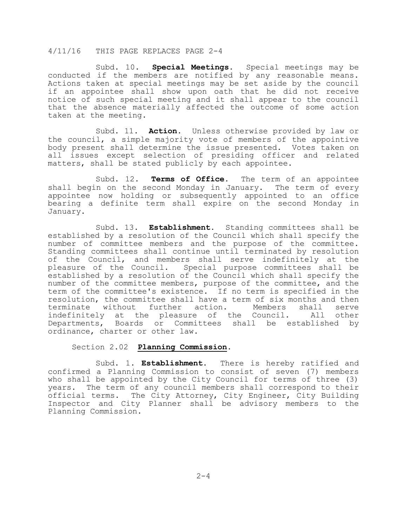Subd. 10. **Special Meetings**. Special meetings may be conducted if the members are notified by any reasonable means. Actions taken at special meetings may be set aside by the council if an appointee shall show upon oath that he did not receive notice of such special meeting and it shall appear to the council that the absence materially affected the outcome of some action taken at the meeting.

 Subd. 11. **Action**. Unless otherwise provided by law or the council, a simple majority vote of members of the appointive body present shall determine the issue presented. Votes taken on all issues except selection of presiding officer and related matters, shall be stated publicly by each appointee.

 Subd. 12. **Terms of Office**. The term of an appointee shall begin on the second Monday in January. The term of every appointee now holding or subsequently appointed to an office bearing a definite term shall expire on the second Monday in January.

 Subd. 13. **Establishment**. Standing committees shall be established by a resolution of the Council which shall specify the number of committee members and the purpose of the committee. Standing committees shall continue until terminated by resolution of the Council, and members shall serve indefinitely at the pleasure of the Council. Special purpose committees shall be established by a resolution of the Council which shall specify the number of the committee members, purpose of the committee, and the term of the committee's existence. If no term is specified in the resolution, the committee shall have a term of six months and then<br>terminate without further action. Members shall serve terminate without further action. Members shall serve<br>indefinitely at the pleasure of the Council. All other indefinitely at the pleasure of the Council. Departments, Boards or Committees shall be established by ordinance, charter or other law.

#### Section 2.02 **Planning Commission**.

 Subd. 1. **Establishment**. There is hereby ratified and confirmed a Planning Commission to consist of seven (7) members who shall be appointed by the City Council for terms of three (3) years. The term of any council members shall correspond to their official terms. The City Attorney, City Engineer, City Building Inspector and City Planner shall be advisory members to the Planning Commission.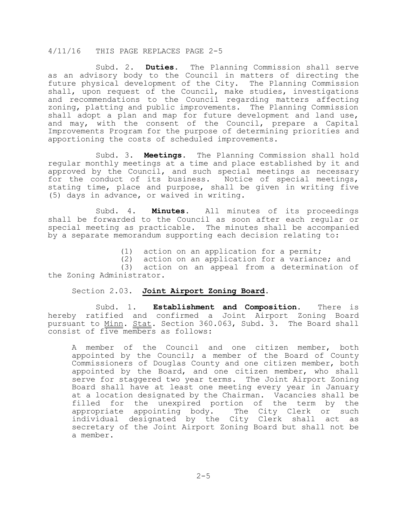Subd. 2. **Duties**. The Planning Commission shall serve as an advisory body to the Council in matters of directing the future physical development of the City. The Planning Commission shall, upon request of the Council, make studies, investigations and recommendations to the Council regarding matters affecting zoning, platting and public improvements. The Planning Commission shall adopt a plan and map for future development and land use, and may, with the consent of the Council, prepare a Capital Improvements Program for the purpose of determining priorities and apportioning the costs of scheduled improvements.

 Subd. 3. **Meetings**. The Planning Commission shall hold regular monthly meetings at a time and place established by it and approved by the Council, and such special meetings as necessary for the conduct of its business. Notice of special meetings, stating time, place and purpose, shall be given in writing five (5) days in advance, or waived in writing.

 Subd. 4. **Minutes**. All minutes of its proceedings shall be forwarded to the Council as soon after each regular or special meeting as practicable. The minutes shall be accompanied by a separate memorandum supporting each decision relating to:

(1) action on an application for a permit;

(2) action on an application for a variance; and (3) action on an appeal from a determination of the Zoning Administrator.

#### Section 2.03. **Joint Airport Zoning Board**.

 Subd. 1. **Establishment and Composition**. There is hereby ratified and confirmed a Joint Airport Zoning Board pursuant to Minn. Stat. Section 360.063, Subd. 3. The Board shall consist of five members as follows:

A member of the Council and one citizen member, both appointed by the Council; a member of the Board of County Commissioners of Douglas County and one citizen member, both appointed by the Board, and one citizen member, who shall serve for staggered two year terms. The Joint Airport Zoning Board shall have at least one meeting every year in January at a location designated by the Chairman. Vacancies shall be filled for the unexpired portion of the term by the<br>appropriate appointing body. The City Clerk or such appropriate appointing body. individual designated by the City Clerk shall act as secretary of the Joint Airport Zoning Board but shall not be a member.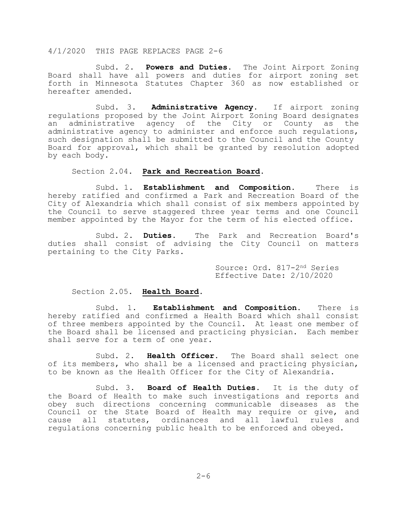Subd. 2. **Powers and Duties**. The Joint Airport Zoning Board shall have all powers and duties for airport zoning set forth in Minnesota Statutes Chapter 360 as now established or hereafter amended.

 Subd. 3. **Administrative Agency**. If airport zoning regulations proposed by the Joint Airport Zoning Board designates administrative agency of the City or County as the administrative agency to administer and enforce such regulations, such designation shall be submitted to the Council and the County Board for approval, which shall be granted by resolution adopted by each body.

Section 2.04. **Park and Recreation Board**.

 Subd. 1. **Establishment and Composition.** There is hereby ratified and confirmed a Park and Recreation Board of the City of Alexandria which shall consist of six members appointed by the Council to serve staggered three year terms and one Council member appointed by the Mayor for the term of his elected office.

 Subd. 2. **Duties.** The Park and Recreation Board's duties shall consist of advising the City Council on matters pertaining to the City Parks.

> Source: Ord. 817-2nd Series Effective Date: 2/10/2020

#### Section 2.05. **Health Board**.

 Subd. 1. **Establishment and Composition.** There is hereby ratified and confirmed a Health Board which shall consist of three members appointed by the Council. At least one member of the Board shall be licensed and practicing physician. Each member shall serve for a term of one year.

 Subd. 2. **Health Officer**. The Board shall select one of its members, who shall be a licensed and practicing physician, to be known as the Health Officer for the City of Alexandria.

 Subd. 3. **Board of Health Duties**. It is the duty of the Board of Health to make such investigations and reports and obey such directions concerning communicable diseases as the Council or the State Board of Health may require or give, and<br>cause all statutes, ordinances and all lawful rules and cause all statutes, ordinances and all lawful rules regulations concerning public health to be enforced and obeyed.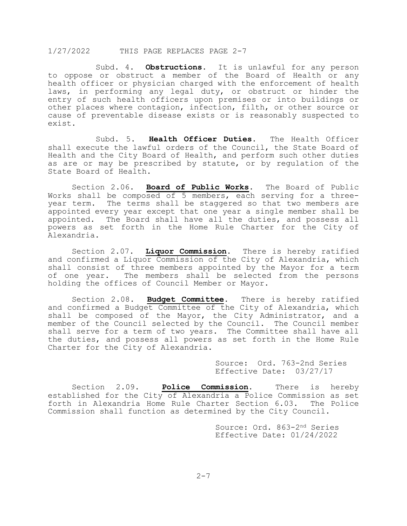Subd. 4. **Obstructions**. It is unlawful for any person to oppose or obstruct a member of the Board of Health or any health officer or physician charged with the enforcement of health laws, in performing any legal duty, or obstruct or hinder the entry of such health officers upon premises or into buildings or other places where contagion, infection, filth, or other source or cause of preventable disease exists or is reasonably suspected to exist.

 Subd. 5. **Health Officer Duties.** The Health Officer shall execute the lawful orders of the Council, the State Board of Health and the City Board of Health, and perform such other duties as are or may be prescribed by statute, or by regulation of the State Board of Health.

Section 2.06. **Board of Public Works**. The Board of Public Works shall be composed of 5 members, each serving for a threeyear term. The terms shall be staggered so that two members are appointed every year except that one year a single member shall be appointed. The Board shall have all the duties, and possess all powers as set forth in the Home Rule Charter for the City of Alexandria.

Section 2.07. **Liquor Commission**. There is hereby ratified and confirmed a Liquor Commission of the City of Alexandria, which shall consist of three members appointed by the Mayor for a term<br>of one year. The members shall be selected from the persons The members shall be selected from the persons holding the offices of Council Member or Mayor.

Section 2.08. **Budget Committee.** There is hereby ratified and confirmed a Budget Committee of the City of Alexandria, which shall be composed of the Mayor, the City Administrator, and a member of the Council selected by the Council. The Council member shall serve for a term of two years. The Committee shall have all the duties, and possess all powers as set forth in the Home Rule Charter for the City of Alexandria.

> Source: Ord. 763-2nd Series Effective Date: 03/27/17

Section 2.09. **Police Commission**. There is hereby established for the City of Alexandria a Police Commission as set<br>forth in Alexandria Home Rule Charter Section 6.03. The Police forth in Alexandria Home Rule Charter Section 6.03. Commission shall function as determined by the City Council.

> Source: Ord. 863-2nd Series Effective Date: 01/24/2022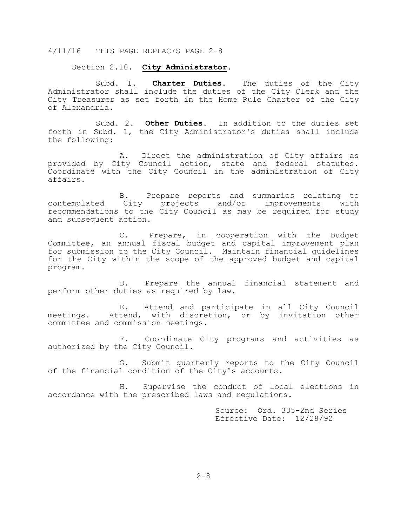Section 2.10. **City Administrator.**

 Subd. 1. **Charter Duties**. The duties of the City Administrator shall include the duties of the City Clerk and the City Treasurer as set forth in the Home Rule Charter of the City of Alexandria.

 Subd. 2. **Other Duties**. In addition to the duties set forth in Subd. 1, the City Administrator's duties shall include the following:

 A. Direct the administration of City affairs as provided by City Council action, state and federal statutes. Coordinate with the City Council in the administration of City affairs.

B. Prepare reports and summaries relating to<br>contemplated City projects and/or improvements with City projects and/or improvements with recommendations to the City Council as may be required for study and subsequent action.

 C. Prepare, in cooperation with the Budget Committee, an annual fiscal budget and capital improvement plan for submission to the City Council. Maintain financial guidelines for the City within the scope of the approved budget and capital program.

 D. Prepare the annual financial statement and perform other duties as required by law.

E. Attend and participate in all City Council<br>meetings. Attend, with discretion, or by invitation other Attend, with discretion, or by invitation other committee and commission meetings.

 F. Coordinate City programs and activities as authorized by the City Council.

 G. Submit quarterly reports to the City Council of the financial condition of the City's accounts.

 H. Supervise the conduct of local elections in accordance with the prescribed laws and regulations.

> Source: Ord. 335-2nd Series Effective Date: 12/28/92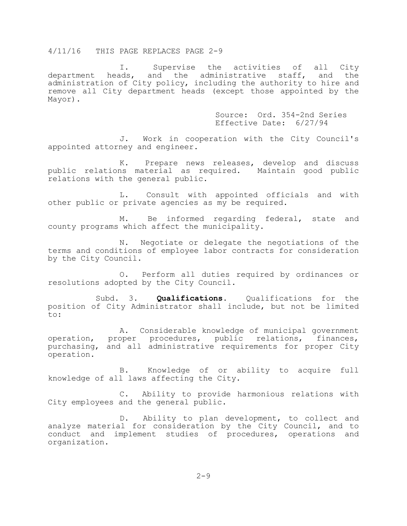I. Supervise the activities of all City<br>department heads, and the administrative staff, and the and the administrative staff, and the administration of City policy, including the authority to hire and remove all City department heads (except those appointed by the Mayor).

> Source: Ord. 354-2nd Series Effective Date: 6/27/94

J. Work in cooperation with the City Council's appointed attorney and engineer.

K. Prepare news releases, develop and discuss public relations material as required. Maintain good public relations with the general public.

L. Consult with appointed officials and with other public or private agencies as my be required.

M. Be informed regarding federal, state and county programs which affect the municipality.

N. Negotiate or delegate the negotiations of the terms and conditions of employee labor contracts for consideration by the City Council.

O. Perform all duties required by ordinances or resolutions adopted by the City Council.

Subd. 3. **Qualifications.** Qualifications for the position of City Administrator shall include, but not be limited to:

A. Considerable knowledge of municipal government operation, proper procedures, public relations, finances, purchasing, and all administrative requirements for proper City operation.

B. Knowledge of or ability to acquire full knowledge of all laws affecting the City.

C. Ability to provide harmonious relations with City employees and the general public.

D. Ability to plan development, to collect and analyze material for consideration by the City Council, and to conduct and implement studies of procedures, operations and organization.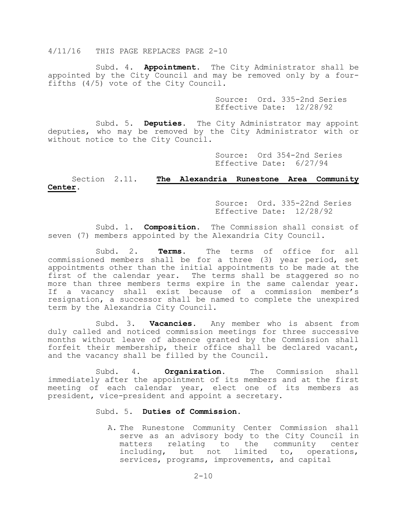Subd. 4. **Appointment**. The City Administrator shall be appointed by the City Council and may be removed only by a fourfifths (4/5) vote of the City Council.

> Source: Ord. 335-2nd Series Effective Date: 12/28/92

 Subd. 5. **Deputies**. The City Administrator may appoint deputies, who may be removed by the City Administrator with or without notice to the City Council.

> Source: Ord 354-2nd Series Effective Date: 6/27/94

## Section 2.11. **The Alexandria Runestone Area Community Center.**

 Source: Ord. 335-22nd Series Effective Date: 12/28/92

 Subd. 1. **Composition.** The Commission shall consist of seven (7) members appointed by the Alexandria City Council.

 Subd. 2. **Terms.** The terms of office for all commissioned members shall be for a three (3) year period, set appointments other than the initial appointments to be made at the first of the calendar year. The terms shall be staggered so no more than three members terms expire in the same calendar year. If a vacancy shall exist because of a commission member's resignation, a successor shall be named to complete the unexpired term by the Alexandria City Council.

 Subd. 3. **Vacancies**. Any member who is absent from duly called and noticed commission meetings for three successive months without leave of absence granted by the Commission shall forfeit their membership, their office shall be declared vacant, and the vacancy shall be filled by the Council.

 Subd. 4. **Organization**. The Commission shall immediately after the appointment of its members and at the first meeting of each calendar year, elect one of its members as president, vice-president and appoint a secretary.

#### Subd. 5. **Duties of Commission**.

A. The Runestone Community Center Commission shall serve as an advisory body to the City Council in<br>matters relating to the community center matters relating to the community including, but not limited to, operations, services, programs, improvements, and capital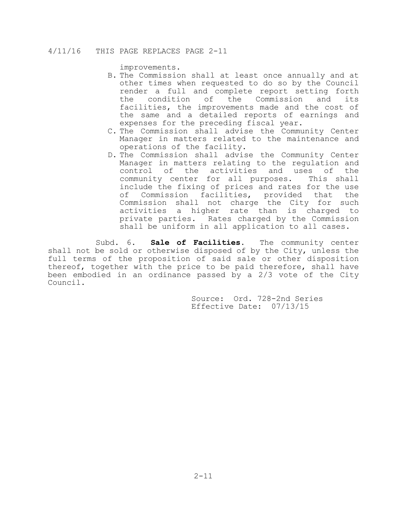improvements.

- B. The Commission shall at least once annually and at other times when requested to do so by the Council render a full and complete report setting forth<br>the condition of the Commission and its the condition of the Commission and facilities, the improvements made and the cost of the same and a detailed reports of earnings and expenses for the preceding fiscal year.
- C. The Commission shall advise the Community Center Manager in matters related to the maintenance and operations of the facility.
- D. The Commission shall advise the Community Center Manager in matters relating to the regulation and control of the activities and uses of the community center for all purposes. This shall include the fixing of prices and rates for the use of Commission facilities, provided that the Commission shall not charge the City for such activities a higher rate than is charged to private parties. Rates charged by the Commission shall be uniform in all application to all cases.

Subd. 6. **Sale of Facilities**. The community center shall not be sold or otherwise disposed of by the City, unless the full terms of the proposition of said sale or other disposition thereof, together with the price to be paid therefore, shall have been embodied in an ordinance passed by a 2/3 vote of the City Council.

> Source: Ord. 728-2nd Series Effective Date: 07/13/15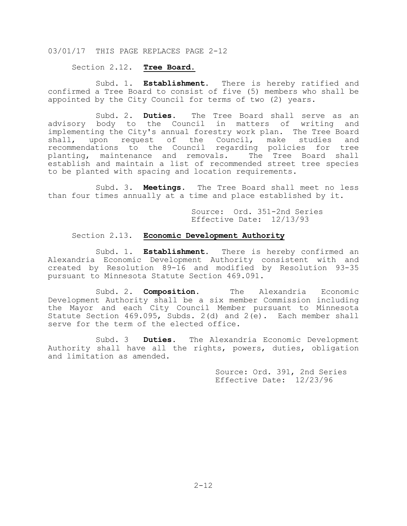Section 2.12. **Tree Board.**

 Subd. 1. **Establishment**. There is hereby ratified and confirmed a Tree Board to consist of five (5) members who shall be appointed by the City Council for terms of two (2) years.

 Subd. 2. **Duties**. The Tree Board shall serve as an advisory body to the Council in matters of writing and implementing the City's annual forestry work plan. The Tree Board shall, upon request of the Council, make studies and recommendations to the Council regarding policies for tree planting, maintenance and removals. The Tree Board shall establish and maintain a list of recommended street tree species to be planted with spacing and location requirements.

 Subd. 3. **Meetings**. The Tree Board shall meet no less than four times annually at a time and place established by it.

> Source: Ord. 351-2nd Series Effective Date: 12/13/93

#### Section 2.13. **Economic Development Authority**

 Subd. 1. **Establishment.** There is hereby confirmed an Alexandria Economic Development Authority consistent with and created by Resolution 89-16 and modified by Resolution 93-35 pursuant to Minnesota Statute Section 469.091.

 Subd. 2. **Composition.** The Alexandria Economic Development Authority shall be a six member Commission including the Mayor and each City Council Member pursuant to Minnesota Statute Section 469.095, Subds. 2(d) and 2(e). Each member shall serve for the term of the elected office.

 Subd. 3 **Duties.** The Alexandria Economic Development Authority shall have all the rights, powers, duties, obligation and limitation as amended.

> Source: Ord. 391, 2nd Series Effective Date: 12/23/96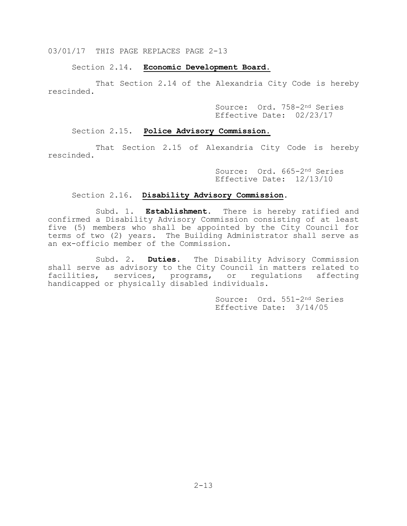Section 2.14. **Economic Development Board.**

 That Section 2.14 of the Alexandria City Code is hereby rescinded.

> Source: Ord. 758-2nd Series Effective Date: 02/23/17

## Section 2.15. **Police Advisory Commission.**

 That Section 2.15 of Alexandria City Code is hereby rescinded.

> Source: Ord. 665-2nd Series Effective Date: 12/13/10

## Section 2.16. **Disability Advisory Commission**.

 Subd. 1. **Establishment.** There is hereby ratified and confirmed a Disability Advisory Commission consisting of at least five (5) members who shall be appointed by the City Council for terms of two (2) years. The Building Administrator shall serve as an ex-officio member of the Commission.

 Subd. 2. **Duties.** The Disability Advisory Commission shall serve as advisory to the City Council in matters related to facilities, services, programs, or regulations affecting handicapped or physically disabled individuals.

> Source: Ord. 551-2nd Series Effective Date: 3/14/05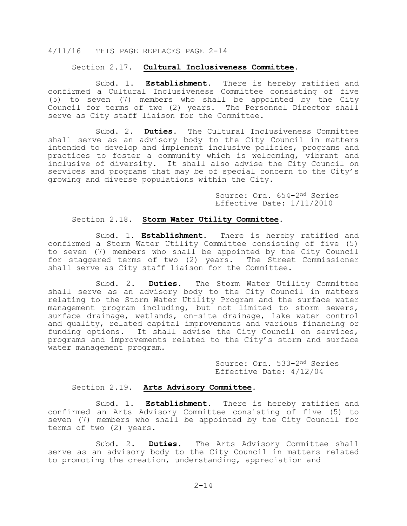#### Section 2.17. **Cultural Inclusiveness Committee**.

 Subd. 1. **Establishment.** There is hereby ratified and confirmed a Cultural Inclusiveness Committee consisting of five (5) to seven (7) members who shall be appointed by the City Council for terms of two (2) years. The Personnel Director shall serve as City staff liaison for the Committee.

 Subd. 2. **Duties.** The Cultural Inclusiveness Committee shall serve as an advisory body to the City Council in matters intended to develop and implement inclusive policies, programs and practices to foster a community which is welcoming, vibrant and inclusive of diversity. It shall also advise the City Council on services and programs that may be of special concern to the City's growing and diverse populations within the City.

> Source: Ord. 654-2nd Series Effective Date: 1/11/2010

## Section 2.18. **Storm Water Utility Committee.**

 Subd. 1. **Establishment.** There is hereby ratified and confirmed a Storm Water Utility Committee consisting of five (5) to seven (7) members who shall be appointed by the City Council for staggered terms of two (2) years. The Street Commissioner shall serve as City staff liaison for the Committee.

 Subd. 2. **Duties.** The Storm Water Utility Committee shall serve as an advisory body to the City Council in matters relating to the Storm Water Utility Program and the surface water management program including, but not limited to storm sewers, surface drainage, wetlands, on-site drainage, lake water control and quality, related capital improvements and various financing or funding options. It shall advise the City Council on services, programs and improvements related to the City's storm and surface water management program.

> Source: Ord. 533-2nd Series Effective Date: 4/12/04

#### Section 2.19. **Arts Advisory Committee**.

 Subd. 1. **Establishment.** There is hereby ratified and confirmed an Arts Advisory Committee consisting of five (5) to seven (7) members who shall be appointed by the City Council for terms of two (2) years.

 Subd. 2. **Duties.** The Arts Advisory Committee shall serve as an advisory body to the City Council in matters related to promoting the creation, understanding, appreciation and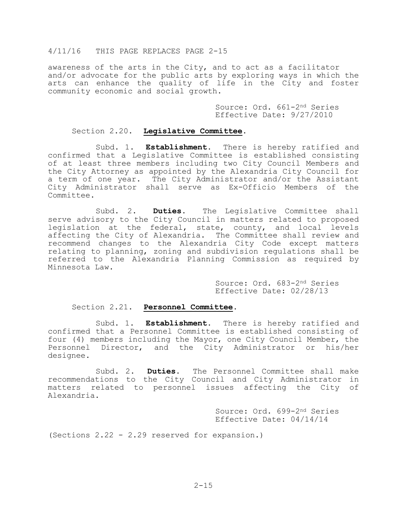awareness of the arts in the City, and to act as a facilitator and/or advocate for the public arts by exploring ways in which the arts can enhance the quality of life in the City and foster community economic and social growth.

> Source: Ord. 661-2nd Series Effective Date: 9/27/2010

## Section 2.20. **Legislative Committee**.

 Subd. 1. **Establishment.** There is hereby ratified and confirmed that a Legislative Committee is established consisting of at least three members including two City Council Members and the City Attorney as appointed by the Alexandria City Council for a term of one year. The City Administrator and/or the Assistant City Administrator shall serve as Ex-Officio Members of the Committee.

 Subd. 2. **Duties.** The Legislative Committee shall serve advisory to the City Council in matters related to proposed legislation at the federal, state, county, and local levels affecting the City of Alexandria. The Committee shall review and recommend changes to the Alexandria City Code except matters relating to planning, zoning and subdivision regulations shall be referred to the Alexandria Planning Commission as required by Minnesota Law.

> Source: Ord. 683-2nd Series Effective Date: 02/28/13

#### Section 2.21. **Personnel Committee**.

 Subd. 1. **Establishment.** There is hereby ratified and confirmed that a Personnel Committee is established consisting of four (4) members including the Mayor, one City Council Member, the Personnel Director, and the City Administrator or his/her designee.

 Subd. 2. **Duties.** The Personnel Committee shall make recommendations to the City Council and City Administrator in matters related to personnel issues affecting the City of Alexandria.

> Source: Ord. 699-2nd Series Effective Date: 04/14/14

(Sections 2.22 - 2.29 reserved for expansion.)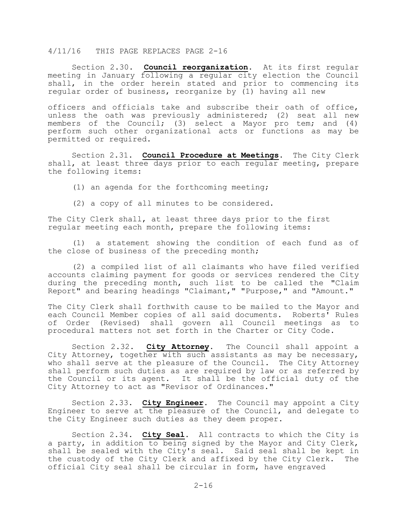Section 2.30. **Council reorganization**. At its first regular meeting in January following a regular city election the Council shall, in the order herein stated and prior to commencing its regular order of business, reorganize by (1) having all new

officers and officials take and subscribe their oath of office, unless the oath was previously administered; (2) seat all new members of the Council; (3) select a Mayor pro tem; and (4) perform such other organizational acts or functions as may be permitted or required.

Section 2.31. **Council Procedure at Meetings**. The City Clerk shall, at least three days prior to each regular meeting, prepare the following items:

(1) an agenda for the forthcoming meeting;

(2) a copy of all minutes to be considered.

The City Clerk shall, at least three days prior to the first regular meeting each month, prepare the following items:

(1) a statement showing the condition of each fund as of the close of business of the preceding month;

(2) a compiled list of all claimants who have filed verified accounts claiming payment for goods or services rendered the City during the preceding month, such list to be called the "Claim Report" and bearing headings "Claimant," "Purpose," and "Amount."

The City Clerk shall forthwith cause to be mailed to the Mayor and each Council Member copies of all said documents. Roberts' Rules of Order (Revised) shall govern all Council meetings as to procedural matters not set forth in the Charter or City Code.

Section 2.32. **City Attorney**. The Council shall appoint a City Attorney, together with such assistants as may be necessary, who shall serve at the pleasure of the Council. The City Attorney shall perform such duties as are required by law or as referred by the Council or its agent. It shall be the official duty of the City Attorney to act as "Revisor of Ordinances."

Section 2.33. **City Engineer**. The Council may appoint a City Engineer to serve at the pleasure of the Council, and delegate to the City Engineer such duties as they deem proper.

Section 2.34. **City Seal**. All contracts to which the City is a party, in addition to being signed by the Mayor and City Clerk, shall be sealed with the City's seal. Said seal shall be kept in the custody of the City Clerk and affixed by the City Clerk. The official City seal shall be circular in form, have engraved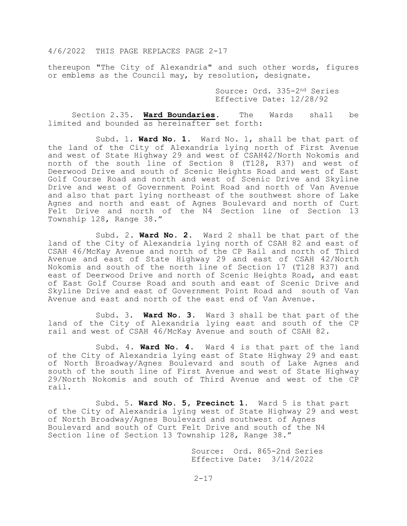thereupon "The City of Alexandria" and such other words, figures or emblems as the Council may, by resolution, designate.

> Source: Ord. 335-2nd Series Effective Date: 12/28/92

Section 2.35. **Ward Boundaries**. The Wards shall be limited and bounded as hereinafter set forth:

Subd. 1. **Ward No. 1.** Ward No. 1, shall be that part of the land of the City of Alexandria lying north of First Avenue and west of State Highway 29 and west of CSAH42/North Nokomis and north of the south line of Section 8 (T128, R37) and west of Deerwood Drive and south of Scenic Heights Road and west of East Golf Course Road and north and west of Scenic Drive and Skyline Drive and west of Government Point Road and north of Van Avenue and also that part lying northeast of the southwest shore of Lake Agnes and north and east of Agnes Boulevard and north of Curt Felt Drive and north of the N4 Section line of Section 13 Township 128, Range 38."

Subd. 2. **Ward No. 2.** Ward 2 shall be that part of the land of the City of Alexandria lying north of CSAH 82 and east of CSAH 46/McKay Avenue and north of the CP Rail and north of Third Avenue and east of State Highway 29 and east of CSAH 42/North Nokomis and south of the north line of Section 17 (T128 R37) and east of Deerwood Drive and north of Scenic Heights Road, and east of East Golf Course Road and south and east of Scenic Drive and Skyline Drive and east of Government Point Road and south of Van Avenue and east and north of the east end of Van Avenue.

Subd. 3. **Ward No. 3.** Ward 3 shall be that part of the land of the City of Alexandria lying east and south of the CP rail and west of CSAH 46/McKay Avenue and south of CSAH 82.

Subd. 4. **Ward No. 4**. Ward 4 is that part of the land of the City of Alexandria lying east of State Highway 29 and east of North Broadway/Agnes Boulevard and south of Lake Agnes and south of the south line of First Avenue and west of State Highway 29/North Nokomis and south of Third Avenue and west of the CP rail.

Subd. 5. **Ward No. 5, Precinct 1**. Ward 5 is that part of the City of Alexandria lying west of State Highway 29 and west of North Broadway/Agnes Boulevard and southwest of Agnes Boulevard and south of Curt Felt Drive and south of the N4 Section line of Section 13 Township 128, Range 38."

> Source: Ord. 865-2nd Series Effective Date: 3/14/2022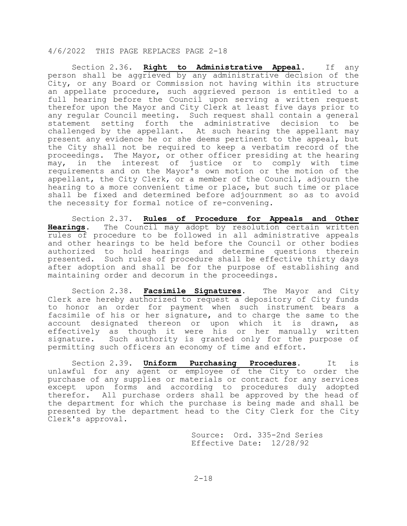Section 2.36. **Right to Administrative Appeal**. If any person shall be aggrieved by any administrative decision of the City, or any Board or Commission not having within its structure an appellate procedure, such aggrieved person is entitled to a full hearing before the Council upon serving a written request therefor upon the Mayor and City Clerk at least five days prior to any regular Council meeting. Such request shall contain a general statement setting forth the administrative decision to challenged by the appellant. At such hearing the appellant may present any evidence he or she deems pertinent to the appeal, but the City shall not be required to keep a verbatim record of the proceedings. The Mayor, or other officer presiding at the hearing may, in the interest of justice or to comply with time requirements and on the Mayor's own motion or the motion of the appellant, the City Clerk, or a member of the Council, adjourn the hearing to a more convenient time or place, but such time or place shall be fixed and determined before adjournment so as to avoid the necessity for formal notice of re-convening.

Section 2.37. **Rules of Procedure for Appeals and Other Hearings**. The Council may adopt by resolution certain written rules of procedure to be followed in all administrative appeals and other hearings to be held before the Council or other bodies authorized to hold hearings and determine questions therein presented. Such rules of procedure shall be effective thirty days after adoption and shall be for the purpose of establishing and maintaining order and decorum in the proceedings.

Section 2.38. **Facsimile Signatures**. The Mayor and City Clerk are hereby authorized to request a depository of City funds to honor an order for payment when such instrument bears a facsimile of his or her signature, and to charge the same to the account designated thereon or upon which it is drawn, as effectively as though it were his or her manually written signature. Such authority is granted only for the purpose of permitting such officers an economy of time and effort.

Section 2.39. **Uniform Purchasing Procedures**. It is unlawful for any agent or employee of the City to order the purchase of any supplies or materials or contract for any services except upon forms and according to procedures duly adopted therefor. All purchase orders shall be approved by the head of the department for which the purchase is being made and shall be presented by the department head to the City Clerk for the City Clerk's approval.

> Source: Ord. 335-2nd Series Effective Date: 12/28/92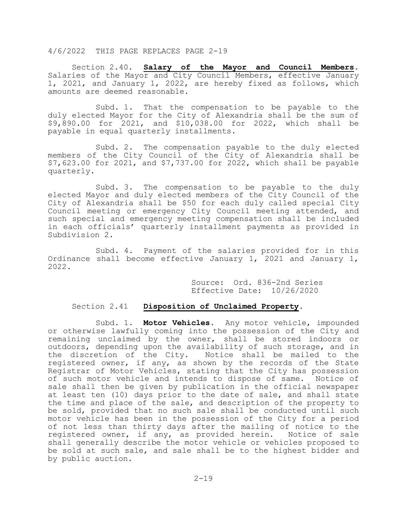Section 2.40. **Salary of the Mayor and Council Members**. Salaries of the Mayor and City Council Members, effective January 1, 2021, and January 1, 2022, are hereby fixed as follows, which amounts are deemed reasonable.

 Subd. 1. That the compensation to be payable to the duly elected Mayor for the City of Alexandria shall be the sum of \$9,890.00 for 2021, and \$10,038.00 for 2022, which shall be payable in equal quarterly installments.

 Subd. 2. The compensation payable to the duly elected members of the City Council of the City of Alexandria shall be \$7,623.00 for 2021, and \$7,737.00 for 2022, which shall be payable quarterly.

 Subd. 3. The compensation to be payable to the duly elected Mayor and duly elected members of the City Council of the City of Alexandria shall be \$50 for each duly called special City Council meeting or emergency City Council meeting attended, and such special and emergency meeting compensation shall be included in each officials' quarterly installment payments as provided in Subdivision 2.

 Subd. 4. Payment of the salaries provided for in this Ordinance shall become effective January 1, 2021 and January 1, 2022.

Source: Ord. 836-2nd Series Effective Date: 10/26/2020

## Section 2.41 **Disposition of Unclaimed Property**.

 Subd. 1. **Motor Vehicles**. Any motor vehicle, impounded or otherwise lawfully coming into the possession of the City and remaining unclaimed by the owner, shall be stored indoors or outdoors, depending upon the availability of such storage, and in the discretion of the City. Notice shall be mailed to the registered owner, if any, as shown by the records of the State Registrar of Motor Vehicles, stating that the City has possession of such motor vehicle and intends to dispose of same. Notice of sale shall then be given by publication in the official newspaper at least ten (10) days prior to the date of sale, and shall state the time and place of the sale, and description of the property to be sold, provided that no such sale shall be conducted until such motor vehicle has been in the possession of the City for a period of not less than thirty days after the mailing of notice to the registered owner, if any, as provided herein. Notice of sale shall generally describe the motor vehicle or vehicles proposed to be sold at such sale, and sale shall be to the highest bidder and by public auction.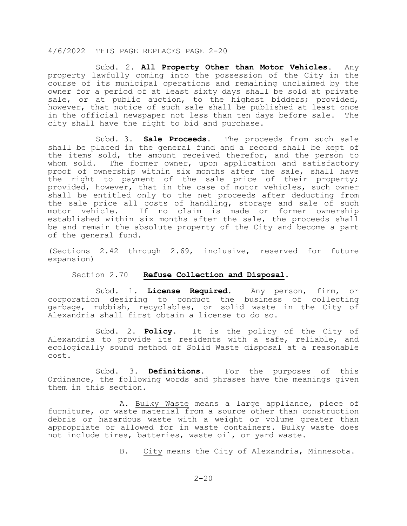Subd. 2. **All Property Other than Motor Vehicles.** Any property lawfully coming into the possession of the City in the course of its municipal operations and remaining unclaimed by the owner for a period of at least sixty days shall be sold at private sale, or at public auction, to the highest bidders; provided, however, that notice of such sale shall be published at least once in the official newspaper not less than ten days before sale. The city shall have the right to bid and purchase.

 Subd. 3. **Sale Proceeds**. The proceeds from such sale shall be placed in the general fund and a record shall be kept of the items sold, the amount received therefor, and the person to<br>whom sold. The former owner, upon application and satisfactory The former owner, upon application and satisfactory proof of ownership within six months after the sale, shall have the right to payment of the sale price of their property; provided, however, that in the case of motor vehicles, such owner shall be entitled only to the net proceeds after deducting from the sale price all costs of handling, storage and sale of such motor vehicle. If no claim is made or former ownership established within six months after the sale, the proceeds shall be and remain the absolute property of the City and become a part of the general fund.

(Sections 2.42 through 2.69, inclusive, reserved for future expansion)

#### Section 2.70 **Refuse Collection and Disposal**.

 Subd. 1. **License Required**. Any person, firm, or corporation desiring to conduct the business of collecting garbage, rubbish, recyclables, or solid waste in the City of Alexandria shall first obtain a license to do so.

 Subd. 2. **Policy**. It is the policy of the City of Alexandria to provide its residents with a safe, reliable, and ecologically sound method of Solid Waste disposal at a reasonable cost.

 Subd. 3. **Definitions**. For the purposes of this Ordinance, the following words and phrases have the meanings given them in this section.

A. Bulky Waste means a large appliance, piece of furniture, or waste material from a source other than construction debris or hazardous waste with a weight or volume greater than appropriate or allowed for in waste containers. Bulky waste does not include tires, batteries, waste oil, or yard waste.

B. City means the City of Alexandria, Minnesota.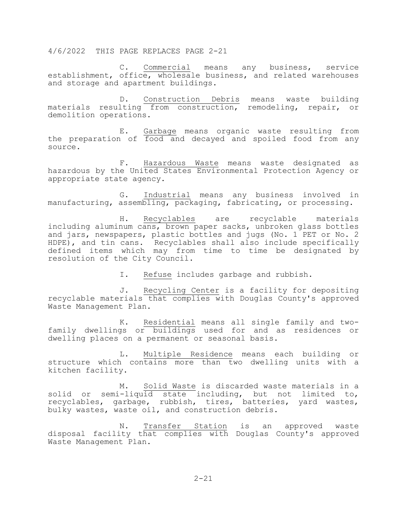C. Commercial means any business, service establishment, office, wholesale business, and related warehouses and storage and apartment buildings.

D. Construction Debris means waste building materials resulting from construction, remodeling, repair, or demolition operations.

E. Garbage means organic waste resulting from the preparation of food and decayed and spoiled food from any source.

F. Hazardous Waste means waste designated as hazardous by the United States Environmental Protection Agency or appropriate state agency.

G. Industrial means any business involved in manufacturing, assembling, packaging, fabricating, or processing.

H. Recyclables are recyclable materials including aluminum cans, brown paper sacks, unbroken glass bottles and jars, newspapers, plastic bottles and jugs (No. 1 PET or No. 2 HDPE), and tin cans. Recyclables shall also include specifically defined items which may from time to time be designated by resolution of the City Council.

I. Refuse includes garbage and rubbish.

J. Recycling Center is a facility for depositing recyclable materials that complies with Douglas County's approved Waste Management Plan.

K. Residential means all single family and twofamily dwellings or buildings used for and as residences or dwelling places on a permanent or seasonal basis.

L. Multiple Residence means each building or structure which contains more than two dwelling units with a kitchen facility.

M. Solid Waste is discarded waste materials in a solid or semi-liquid state including, but not limited to, recyclables, garbage, rubbish, tires, batteries, yard wastes, bulky wastes, waste oil, and construction debris.

N. Transfer Station is an approved waste disposal facility that complies with Douglas County's approved Waste Management Plan.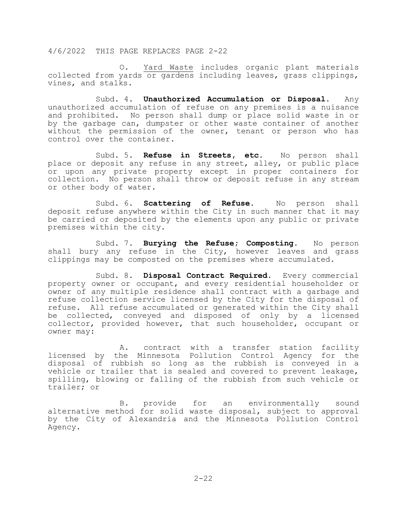O. Yard Waste includes organic plant materials collected from yards or gardens including leaves, grass clippings, vines, and stalks.

 Subd. 4. **Unauthorized Accumulation or Disposal**. Any unauthorized accumulation of refuse on any premises is a nuisance and prohibited. No person shall dump or place solid waste in or by the garbage can, dumpster or other waste container of another without the permission of the owner, tenant or person who has control over the container.

 Subd. 5. **Refuse in Streets, etc**. No person shall place or deposit any refuse in any street, alley, or public place or upon any private property except in proper containers for collection. No person shall throw or deposit refuse in any stream or other body of water.

Subd. 6. **Scattering of Refuse**. No person shall deposit refuse anywhere within the City in such manner that it may be carried or deposited by the elements upon any public or private premises within the city.

 Subd. 7. **Burying the Refuse; Composting**. No person shall bury any refuse in the City, however leaves and grass clippings may be composted on the premises where accumulated.

 Subd. 8. **Disposal Contract Required**. Every commercial property owner or occupant, and every residential householder or owner of any multiple residence shall contract with a garbage and refuse collection service licensed by the City for the disposal of refuse. All refuse accumulated or generated within the City shall be collected, conveyed and disposed of only by a licensed collector, provided however, that such householder, occupant or owner may:

 A. contract with a transfer station facility licensed by the Minnesota Pollution Control Agency for the disposal of rubbish so long as the rubbish is conveyed in a vehicle or trailer that is sealed and covered to prevent leakage, spilling, blowing or falling of the rubbish from such vehicle or trailer; or

 B. provide for an environmentally sound alternative method for solid waste disposal, subject to approval by the City of Alexandria and the Minnesota Pollution Control Agency.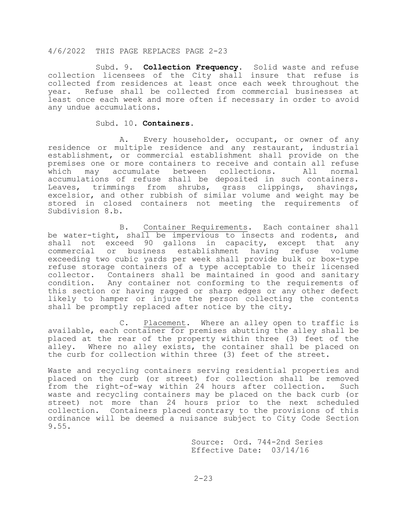Subd. 9. **Collection Frequency**. Solid waste and refuse collection licensees of the City shall insure that refuse is collected from residences at least once each week throughout the year. Refuse shall be collected from commercial businesses at least once each week and more often if necessary in order to avoid any undue accumulations.

#### Subd. 10. **Containers**.

 A. Every householder, occupant, or owner of any residence or multiple residence and any restaurant, industrial establishment, or commercial establishment shall provide on the premises one or more containers to receive and contain all refuse<br>which may accumulate between collections. All normal which may accumulate between collections. All accumulations of refuse shall be deposited in such containers. Leaves, trimmings from shrubs, grass clippings, shavings, excelsior, and other rubbish of similar volume and weight may be stored in closed containers not meeting the requirements of Subdivision 8.b.

 B. Container Requirements. Each container shall be water-tight, shall be impervious to insects and rodents, and shall not exceed 90 gallons in capacity, except that any commercial or business establishment having refuse volume exceeding two cubic yards per week shall provide bulk or box-type refuse storage containers of a type acceptable to their licensed collector. Containers shall be maintained in good and sanitary condition. Any container not conforming to the requirements of this section or having ragged or sharp edges or any other defect likely to hamper or injure the person collecting the contents shall be promptly replaced after notice by the city.

 C. Placement. Where an alley open to traffic is available, each container for premises abutting the alley shall be placed at the rear of the property within three (3) feet of the alley. Where no alley exists, the container shall be placed on the curb for collection within three (3) feet of the street.

Waste and recycling containers serving residential properties and placed on the curb (or street) for collection shall be removed<br>from the right-of-way within 24 hours after collection. Such from the right-of-way within 24 hours after collection. waste and recycling containers may be placed on the back curb (or street) not more than 24 hours prior to the next scheduled collection. Containers placed contrary to the provisions of this ordinance will be deemed a nuisance subject to City Code Section 9.55.

> Source: Ord. 744-2nd Series Effective Date: 03/14/16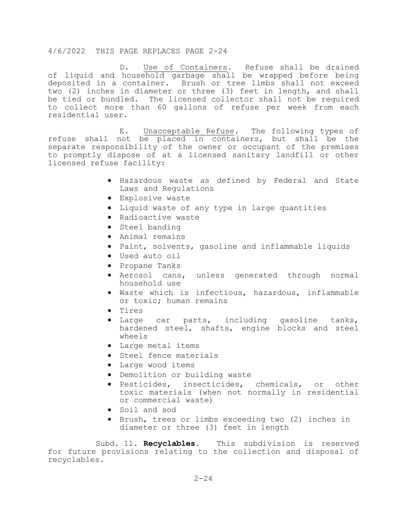Use of Containers. Refuse shall be drained of liquid and household garbage shall be wrapped before being deposited in a container. Brush or tree limbs shall not exceed two (2) inches in diameter or three (3) feet in length, and shall be tied or bundled. The licensed collector shall not be required to collect more than 60 gallons of refuse per week from each residential user.

 E. Unacceptable Refuse. The following types of refuse shall not be placed in containers, but shall be the separate responsibility of the owner or occupant of the premises to promptly dispose of at a licensed sanitary landfill or other licensed refuse facility:

- Hazardous waste as defined by Federal and State Laws and Regulations
- Explosive waste
- Liquid waste of any type in large quantities
- Radioactive waste
- Steel banding
- Animal remains
- Paint, solvents, gasoline and inflammable liquids
- Used auto oil
- Propane Tanks
- Aerosol cans, unless generated through normal household use
- Waste which is infectious, hazardous, inflammable or toxic; human remains
- Tires
- Large car parts, including gasoline tanks, hardened steel, shafts, engine blocks and steel wheels
- Large metal items
- Steel fence materials
- Large wood items
- Demolition or building waste
- Pesticides, insecticides, chemicals, or other toxic materials (when not normally in residential or commercial waste)
- Soil and sod
- Brush, trees or limbs exceeding two (2) inches in diameter or three (3) feet in length

 Subd. 11. **Recyclables**. This subdivision is reserved for future provisions relating to the collection and disposal of recyclables.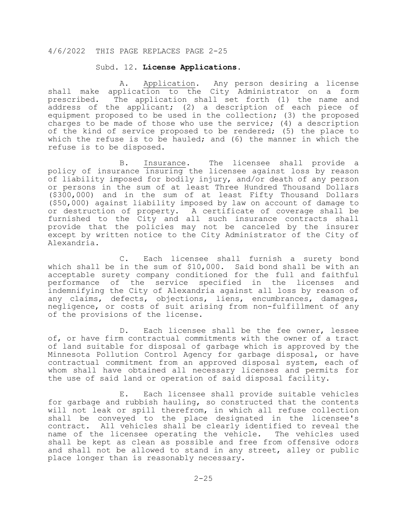#### Subd. 12. **License Applications**.

A. Application. Any person desiring a license shall make application to the City Administrator on a form prescribed. The application shall set forth (1) the name and address of the applicant; (2) a description of each piece of equipment proposed to be used in the collection; (3) the proposed charges to be made of those who use the service; (4) a description of the kind of service proposed to be rendered; (5) the place to which the refuse is to be hauled; and (6) the manner in which the refuse is to be disposed.

 B. Insurance. The licensee shall provide a policy of insurance insuring the licensee against loss by reason of liability imposed for bodily injury, and/or death of any person or persons in the sum of at least Three Hundred Thousand Dollars (\$300,000) and in the sum of at least Fifty Thousand Dollars (\$50,000) against liability imposed by law on account of damage to or destruction of property. A certificate of coverage shall be furnished to the City and all such insurance contracts shall provide that the policies may not be canceled by the insurer except by written notice to the City Administrator of the City of Alexandria.

 C. Each licensee shall furnish a surety bond which shall be in the sum of \$10,000. Said bond shall be with an acceptable surety company conditioned for the full and faithful performance of the service specified in the licenses and indemnifying the City of Alexandria against all loss by reason of any claims, defects, objections, liens, encumbrances, damages, negligence, or costs of suit arising from non-fulfillment of any of the provisions of the license.

 D. Each licensee shall be the fee owner, lessee of, or have firm contractual commitments with the owner of a tract of land suitable for disposal of garbage which is approved by the Minnesota Pollution Control Agency for garbage disposal, or have contractual commitment from an approved disposal system, each of whom shall have obtained all necessary licenses and permits for the use of said land or operation of said disposal facility.

 E. Each licensee shall provide suitable vehicles for garbage and rubbish hauling, so constructed that the contents will not leak or spill therefrom, in which all refuse collection shall be conveyed to the place designated in the licensee's contract. All vehicles shall be clearly identified to reveal the name of the licensee operating the vehicle. The vehicles used shall be kept as clean as possible and free from offensive odors and shall not be allowed to stand in any street, alley or public place longer than is reasonably necessary.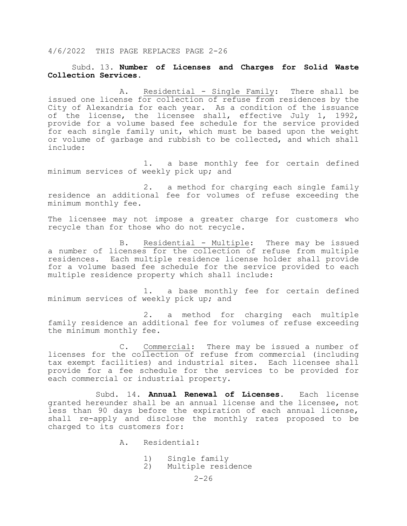## Subd. 13. **Number of Licenses and Charges for Solid Waste Collection Services**.

 A. Residential - Single Family: There shall be issued one license for collection of refuse from residences by the City of Alexandria for each year. As a condition of the issuance of the license, the licensee shall, effective July 1, 1992, provide for a volume based fee schedule for the service provided for each single family unit, which must be based upon the weight or volume of garbage and rubbish to be collected, and which shall include:

1. a base monthly fee for certain defined minimum services of weekly pick up; and

2. a method for charging each single family residence an additional fee for volumes of refuse exceeding the minimum monthly fee.

The licensee may not impose a greater charge for customers who recycle than for those who do not recycle.

 B. Residential - Multiple: There may be issued a number of licenses for the collection of refuse from multiple residences. Each multiple residence license holder shall provide for a volume based fee schedule for the service provided to each multiple residence property which shall include:

1. a base monthly fee for certain defined minimum services of weekly pick up; and

2. a method for charging each multiple family residence an additional fee for volumes of refuse exceeding the minimum monthly fee.

 C. Commercial: There may be issued a number of licenses for the collection of refuse from commercial (including tax exempt facilities) and industrial sites. Each licensee shall provide for a fee schedule for the services to be provided for each commercial or industrial property.

 Subd. 14. **Annual Renewal of Licenses**. Each license granted hereunder shall be an annual license and the licensee, not less than 90 days before the expiration of each annual license, shall re-apply and disclose the monthly rates proposed to be charged to its customers for:

- A. Residential:
	- 1) Single family<br>2) Multiple resio
	- Multiple residence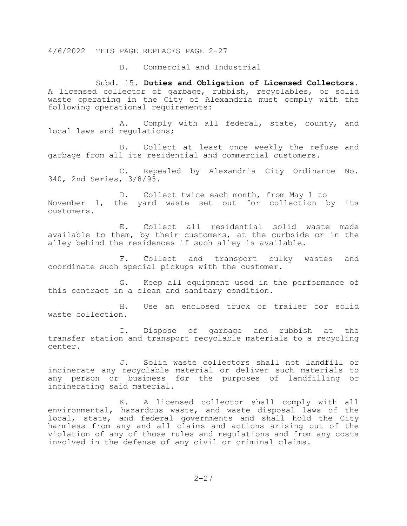B. Commercial and Industrial

Subd. 15. **Duties and Obligation of Licensed Collectors**. A licensed collector of garbage, rubbish, recyclables, or solid waste operating in the City of Alexandria must comply with the following operational requirements:

A. Comply with all federal, state, county, and local laws and regulations;

B. Collect at least once weekly the refuse and garbage from all its residential and commercial customers.

C. Repealed by Alexandria City Ordinance No. 340, 2nd Series, 3/8/93.

D. Collect twice each month, from May 1 to November 1, the yard waste set out for collection by its customers.

E. Collect all residential solid waste made available to them, by their customers, at the curbside or in the alley behind the residences if such alley is available.

F. Collect and transport bulky wastes and coordinate such special pickups with the customer.

G. Keep all equipment used in the performance of this contract in a clean and sanitary condition.

H. Use an enclosed truck or trailer for solid waste collection.

I. Dispose of garbage and rubbish at the transfer station and transport recyclable materials to a recycling center.

J. Solid waste collectors shall not landfill or incinerate any recyclable material or deliver such materials to any person or business for the purposes of landfilling or incinerating said material.

K. A licensed collector shall comply with all environmental, hazardous waste, and waste disposal laws of the local, state, and federal governments and shall hold the City harmless from any and all claims and actions arising out of the violation of any of those rules and regulations and from any costs involved in the defense of any civil or criminal claims.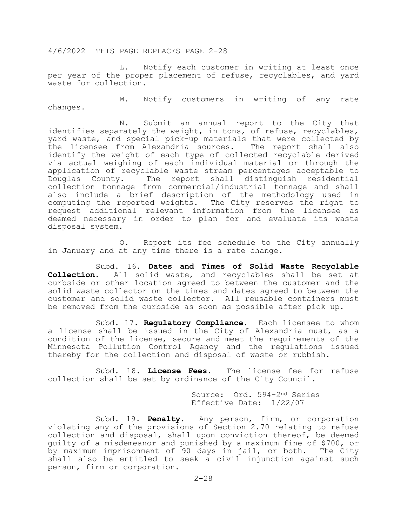L. Notify each customer in writing at least once per year of the proper placement of refuse, recyclables, and yard waste for collection.

 M. Notify customers in writing of any rate changes.

 N. Submit an annual report to the City that identifies separately the weight, in tons, of refuse, recyclables, yard waste, and special pick-up materials that were collected by the licensee from Alexandria sources. The report shall also identify the weight of each type of collected recyclable derived via actual weighing of each individual material or through the application of recyclable waste stream percentages acceptable to<br>Douglas County. The report shall distinguish residential The report shall distinguish residential collection tonnage from commercial/industrial tonnage and shall also include a brief description of the methodology used in computing the reported weights. The City reserves the right to request additional relevant information from the licensee as deemed necessary in order to plan for and evaluate its waste disposal system.

 O. Report its fee schedule to the City annually in January and at any time there is a rate change.

Subd. 16. **Dates and Times of Solid Waste Recyclable**<br>**Collection.** All solid waste, and recyclables shall be set at **Collection**. All solid waste, and recyclables shall be set at curbside or other location agreed to between the customer and the solid waste collector on the times and dates agreed to between the customer and solid waste collector. All reusable containers must be removed from the curbside as soon as possible after pick up.

 Subd. 17. **Regulatory Compliance**. Each licensee to whom a license shall be issued in the City of Alexandria must, as a condition of the license, secure and meet the requirements of the Minnesota Pollution Control Agency and the regulations issued thereby for the collection and disposal of waste or rubbish.

 Subd. 18. **License Fees**. The license fee for refuse collection shall be set by ordinance of the City Council.

> Source: Ord. 594-2nd Series Effective Date: 1/22/07

 Subd. 19. **Penalty**. Any person, firm, or corporation violating any of the provisions of Section 2.70 relating to refuse collection and disposal, shall upon conviction thereof, be deemed guilty of a misdemeanor and punished by a maximum fine of \$700, or by maximum imprisonment of 90 days in jail, or both. The City shall also be entitled to seek a civil injunction against such person, firm or corporation.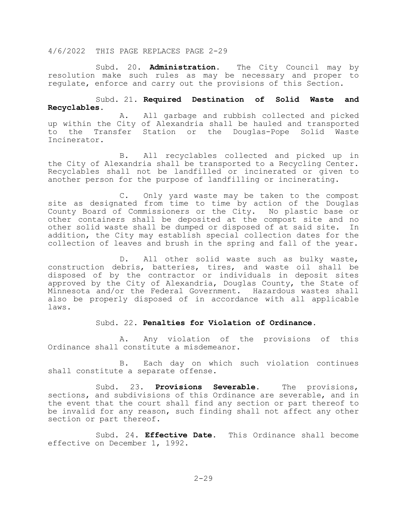Subd. 20. **Administration**. The City Council may by resolution make such rules as may be necessary and proper to regulate, enforce and carry out the provisions of this Section.

## Subd. 21. **Required Destination of Solid Waste and Recyclables**.

A. All garbage and rubbish collected and picked up within the City of Alexandria shall be hauled and transported to the Transfer Station or the Douglas-Pope Solid Waste Incinerator.

B. All recyclables collected and picked up in the City of Alexandria shall be transported to a Recycling Center. Recyclables shall not be landfilled or incinerated or given to another person for the purpose of landfilling or incinerating.

C. Only yard waste may be taken to the compost site as designated from time to time by action of the Douglas County Board of Commissioners or the City. No plastic base or other containers shall be deposited at the compost site and no other solid waste shall be dumped or disposed of at said site. In addition, the City may establish special collection dates for the collection of leaves and brush in the spring and fall of the year.

D. All other solid waste such as bulky waste, construction debris, batteries, tires, and waste oil shall be disposed of by the contractor or individuals in deposit sites approved by the City of Alexandria, Douglas County, the State of Minnesota and/or the Federal Government. Hazardous wastes shall also be properly disposed of in accordance with all applicable laws.

#### Subd. 22. **Penalties for Violation of Ordinance**.

A. Any violation of the provisions of this Ordinance shall constitute a misdemeanor.

B. Each day on which such violation continues shall constitute a separate offense.

Subd. 23. **Provisions Severable**. The provisions, sections, and subdivisions of this Ordinance are severable, and in the event that the court shall find any section or part thereof to be invalid for any reason, such finding shall not affect any other section or part thereof.

Subd. 24. **Effective Date**. This Ordinance shall become effective on December 1, 1992.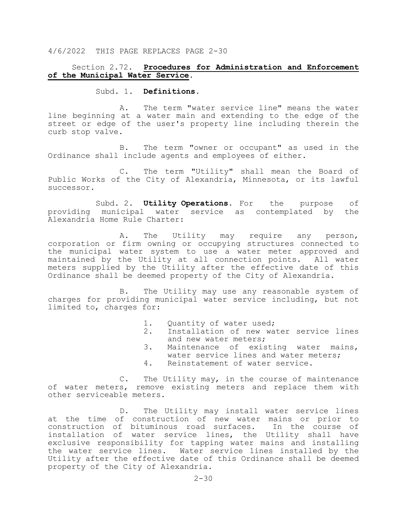## Section 2.72. **Procedures for Administration and Enforcement of the Municipal Water Service**.

## Subd. 1. **Definitions**.

 A. The term "water service line" means the water line beginning at a water main and extending to the edge of the street or edge of the user's property line including therein the curb stop valve.

 B. The term "owner or occupant" as used in the Ordinance shall include agents and employees of either.

 C. The term "Utility" shall mean the Board of Public Works of the City of Alexandria, Minnesota, or its lawful successor.

Subd. 2. **Utility Operations**. For the purpose of municipal water service as contemplated by the providing municipal water service as contemplated by Alexandria Home Rule Charter:

 A. The Utility may require any person, corporation or firm owning or occupying structures connected to the municipal water system to use a water meter approved and maintained by the Utility at all connection points. All water meters supplied by the Utility after the effective date of this Ordinance shall be deemed property of the City of Alexandria.

 B. The Utility may use any reasonable system of charges for providing municipal water service including, but not limited to, charges for:

- 1. Quantity of water used;<br>2. Installation of new wa
- Installation of new water service lines<br>and new water meters;
- 3. Maintenance of existing water mains, water service lines and water meters;<br>4. Reinstatement of water service.<br>C. The Utility may, in the course of maintena
	-

The Utility may, in the course of maintenance of water meters, remove existing meters and replace them with other serviceable meters.

 D. The Utility may install water service lines at the time of construction of new water mains or prior to<br>construction of bituminous road surfaces. In the course of construction of bituminous road surfaces. installation of water service lines, the Utility shall have exclusive responsibility for tapping water mains and installing the water service lines. Water service lines installed by the Utility after the effective date of this Ordinance shall be deemed property of the City of Alexandria.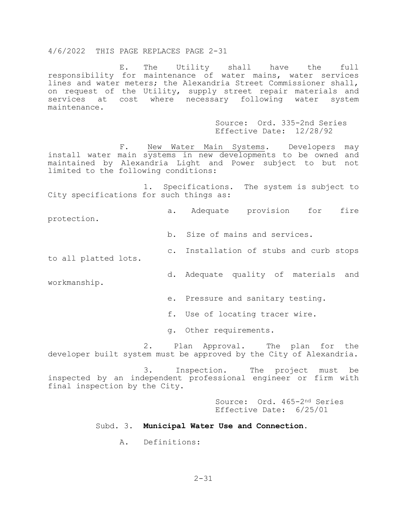E. The Utility shall have the full responsibility for maintenance of water mains, water services lines and water meters; the Alexandria Street Commissioner shall, on request of the Utility, supply street repair materials and services at cost where necessary following water system maintenance.

> Source: Ord. 335-2nd Series Effective Date: 12/28/92

F. New Water Main Systems. Developers may install water main systems in new developments to be owned and maintained by Alexandria Light and Power subject to but not limited to the following conditions:

 1. Specifications. The system is subject to City specifications for such things as:

 a. Adequate provision for fire protection.

b. Size of mains and services.

c. Installation of stubs and curb stops

to all platted lots.

d. Adequate quality of materials and

workmanship.

e. Pressure and sanitary testing.

f. Use of locating tracer wire.

g. Other requirements.

 2. Plan Approval. The plan for the developer built system must be approved by the City of Alexandria.

 3. Inspection. The project must be inspected by an independent professional engineer or firm with final inspection by the City.

> Source: Ord. 465-2nd Series Effective Date: 6/25/01

#### Subd. 3. **Municipal Water Use and Connection**.

A. Definitions: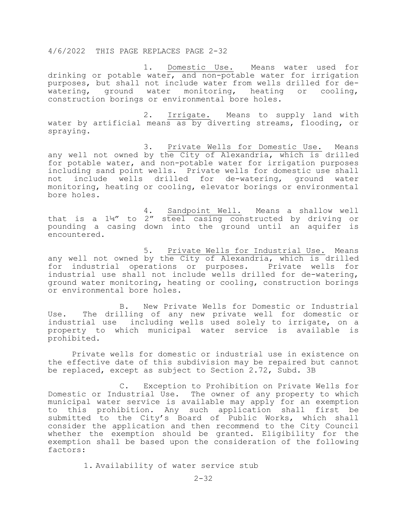1. Domestic Use. Means water used for drinking or potable water, and non-potable water for irrigation purposes, but shall not include water from wells drilled for dewatering, ground water monitoring, heating or cooling, construction borings or environmental bore holes.

 2. Irrigate. Means to supply land with water by artificial means as by diverting streams, flooding, or spraying.

 3. Private Wells for Domestic Use. Means any well not owned by the City of Alexandria, which is drilled for potable water, and non-potable water for irrigation purposes including sand point wells. Private wells for domestic use shall not include wells drilled for de-watering, ground monitoring, heating or cooling, elevator borings or environmental bore holes.

 4. Sandpoint Well. Means a shallow well that is a 1¼" to 2" steel casing constructed by driving or pounding a casing down into the ground until an aquifer is encountered.

 5. Private Wells for Industrial Use. Means any well not owned by the City of Alexandria, which is drilled for industrial operations or purposes. Private wells for industrial use shall not include wells drilled for de-watering, ground water monitoring, heating or cooling, construction borings or environmental bore holes.

B. New Private Wells for Domestic or Industrial Use. The drilling of any new private well for domestic or industrial use including wells used solely to irrigate, on a property to which municipal water service is available is prohibited.

Private wells for domestic or industrial use in existence on the effective date of this subdivision may be repaired but cannot be replaced, except as subject to Section 2.72, Subd. 3B

C. Exception to Prohibition on Private Wells for Domestic or Industrial Use. The owner of any property to which municipal water service is available may apply for an exemption to this prohibition. Any such application shall first be submitted to the City's Board of Public Works, which shall consider the application and then recommend to the City Council whether the exemption should be granted. Eligibility for the exemption shall be based upon the consideration of the following factors:

1. Availability of water service stub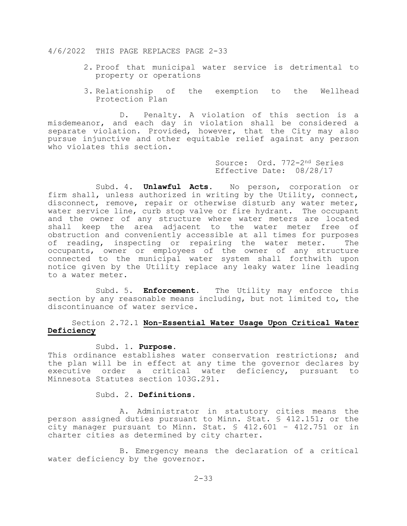- 2. Proof that municipal water service is detrimental to property or operations
- 3. Relationship of the exemption to the Wellhead Protection Plan

D. Penalty. A violation of this section is a misdemeanor, and each day in violation shall be considered a separate violation. Provided, however, that the City may also pursue injunctive and other equitable relief against any person who violates this section.

> Source: Ord. 772-2nd Series Effective Date: 08/28/17

 Subd. 4. **Unlawful Acts**. No person, corporation or firm shall, unless authorized in writing by the Utility, connect, disconnect, remove, repair or otherwise disturb any water meter, water service line, curb stop valve or fire hydrant. The occupant and the owner of any structure where water meters are located shall keep the area adjacent to the water meter free of obstruction and conveniently accessible at all times for purposes<br>of reading, inspecting or repairing the water meter. The of reading, inspecting or repairing the water meter. occupants, owner or employees of the owner of any structure connected to the municipal water system shall forthwith upon notice given by the Utility replace any leaky water line leading to a water meter.

 Subd. 5. **Enforcement**. The Utility may enforce this section by any reasonable means including, but not limited to, the discontinuance of water service.

## Section 2.72.1 **Non-Essential Water Usage Upon Critical Water Deficiency**

#### Subd. 1. **Purpose**.

This ordinance establishes water conservation restrictions; and the plan will be in effect at any time the governor declares by executive order a critical water deficiency, pursuant to Minnesota Statutes section 103G.291.

## Subd. 2. **Definitions**.

 A. Administrator in statutory cities means the person assigned duties pursuant to Minn. Stat. § 412.151; or the city manager pursuant to Minn. Stat. § 412.601 – 412.751 or in charter cities as determined by city charter.

 B. Emergency means the declaration of a critical water deficiency by the governor.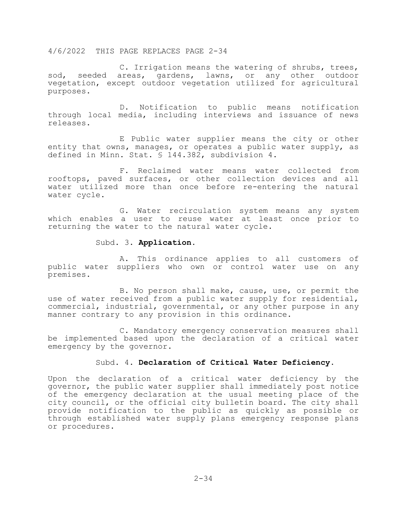C. Irrigation means the watering of shrubs, trees, sod, seeded areas, gardens, lawns, or any other outdoor vegetation, except outdoor vegetation utilized for agricultural purposes.

D. Notification to public means notification through local media, including interviews and issuance of news releases.

E Public water supplier means the city or other entity that owns, manages, or operates a public water supply, as defined in Minn. Stat. § 144.382, subdivision 4.

F. Reclaimed water means water collected from rooftops, paved surfaces, or other collection devices and all water utilized more than once before re-entering the natural water cycle.

G. Water recirculation system means any system which enables a user to reuse water at least once prior to returning the water to the natural water cycle.

#### Subd. 3. **Application**.

A. This ordinance applies to all customers of public water suppliers who own or control water use on any premises.

B. No person shall make, cause, use, or permit the use of water received from a public water supply for residential, commercial, industrial, governmental, or any other purpose in any manner contrary to any provision in this ordinance.

C. Mandatory emergency conservation measures shall be implemented based upon the declaration of a critical water emergency by the governor.

## Subd. 4. **Declaration of Critical Water Deficiency**.

Upon the declaration of a critical water deficiency by the governor, the public water supplier shall immediately post notice of the emergency declaration at the usual meeting place of the city council, or the official city bulletin board. The city shall provide notification to the public as quickly as possible or through established water supply plans emergency response plans or procedures.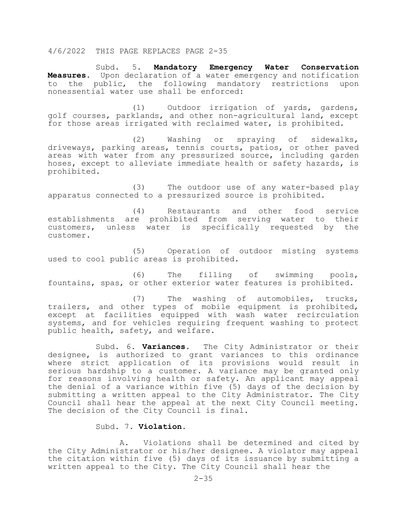Subd. 5. **Mandatory Emergency Water Conservation Measures**. Upon declaration of a water emergency and notification to the public, the following mandatory restrictions upon nonessential water use shall be enforced:

(1) Outdoor irrigation of yards, gardens, golf courses, parklands, and other non-agricultural land, except for those areas irrigated with reclaimed water, is prohibited.

(2) Washing or spraying of sidewalks, driveways, parking areas, tennis courts, patios, or other paved areas with water from any pressurized source, including garden hoses, except to alleviate immediate health or safety hazards, is prohibited.

(3) The outdoor use of any water-based play apparatus connected to a pressurized source is prohibited.

(4) Restaurants and other food service establishments are prohibited from serving water to their customers, unless water is specifically requested by the customer.

(5) Operation of outdoor misting systems used to cool public areas is prohibited.

(6) The filling of swimming pools, fountains, spas, or other exterior water features is prohibited.

(7) The washing of automobiles, trucks, trailers, and other types of mobile equipment is prohibited, except at facilities equipped with wash water recirculation systems, and for vehicles requiring frequent washing to protect public health, safety, and welfare.

Subd. 6. **Variances**. The City Administrator or their designee, is authorized to grant variances to this ordinance where strict application of its provisions would result in serious hardship to a customer. A variance may be granted only for reasons involving health or safety. An applicant may appeal the denial of a variance within five (5) days of the decision by submitting a written appeal to the City Administrator. The City Council shall hear the appeal at the next City Council meeting. The decision of the City Council is final.

## Subd. 7. **Violation.**

A. Violations shall be determined and cited by the City Administrator or his/her designee. A violator may appeal the citation within five (5) days of its issuance by submitting a written appeal to the City. The City Council shall hear the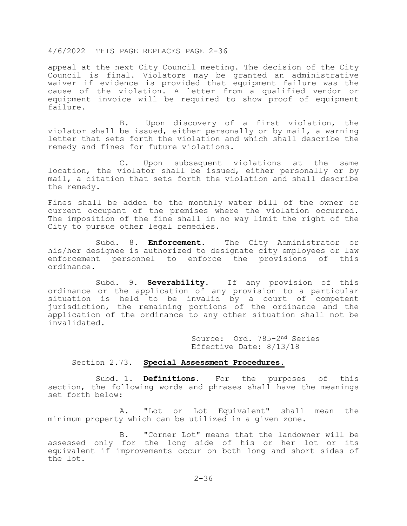appeal at the next City Council meeting. The decision of the City Council is final. Violators may be granted an administrative waiver if evidence is provided that equipment failure was the cause of the violation. A letter from a qualified vendor or equipment invoice will be required to show proof of equipment failure.

 B. Upon discovery of a first violation, the violator shall be issued, either personally or by mail, a warning letter that sets forth the violation and which shall describe the remedy and fines for future violations.

 C. Upon subsequent violations at the same location, the violator shall be issued, either personally or by mail, a citation that sets forth the violation and shall describe the remedy.

Fines shall be added to the monthly water bill of the owner or current occupant of the premises where the violation occurred. The imposition of the fine shall in no way limit the right of the City to pursue other legal remedies.

 Subd. 8. **Enforcement.** The City Administrator or his/her designee is authorized to designate city employees or law enforcement personnel to enforce the provisions of this ordinance.

 Subd. 9. **Severability.** If any provision of this ordinance or the application of any provision to a particular situation is held to be invalid by a court of competent jurisdiction, the remaining portions of the ordinance and the application of the ordinance to any other situation shall not be invalidated.

> Source: Ord. 785-2nd Series Effective Date: 8/13/18

#### Section 2.73. **Special Assessment Procedures.**

 Subd. 1. **Definitions.** For the purposes of this section, the following words and phrases shall have the meanings set forth below:

 A. "Lot or Lot Equivalent" shall mean the minimum property which can be utilized in a given zone.

 B. "Corner Lot" means that the landowner will be assessed only for the long side of his or her lot or its equivalent if improvements occur on both long and short sides of the lot.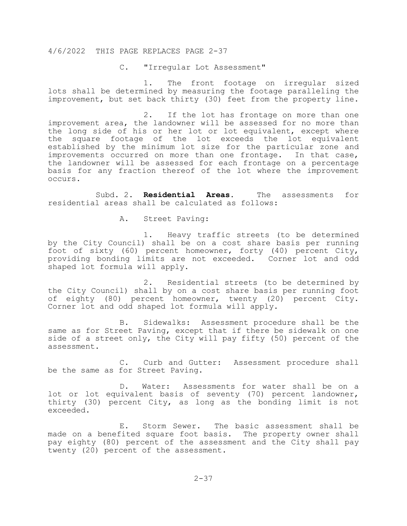### C. "Irregular Lot Assessment"

1. The front footage on irregular sized lots shall be determined by measuring the footage paralleling the improvement, but set back thirty (30) feet from the property line.

2. If the lot has frontage on more than one improvement area, the landowner will be assessed for no more than the long side of his or her lot or lot equivalent, except where the square footage of the lot exceeds the lot equivalent established by the minimum lot size for the particular zone and improvements occurred on more than one frontage. In that case, the landowner will be assessed for each frontage on a percentage basis for any fraction thereof of the lot where the improvement occurs.

Subd. 2. **Residential Areas.** The assessments for residential areas shall be calculated as follows:

A. Street Paving:

1. Heavy traffic streets (to be determined by the City Council) shall be on a cost share basis per running foot of sixty (60) percent homeowner, forty (40) percent City, providing bonding limits are not exceeded. Corner lot and odd shaped lot formula will apply.

2. Residential streets (to be determined by the City Council) shall by on a cost share basis per running foot of eighty (80) percent homeowner, twenty (20) percent City. Corner lot and odd shaped lot formula will apply.

B. Sidewalks: Assessment procedure shall be the same as for Street Paving, except that if there be sidewalk on one side of a street only, the City will pay fifty (50) percent of the assessment.

C. Curb and Gutter: Assessment procedure shall be the same as for Street Paving.

D. Water: Assessments for water shall be on a lot or lot equivalent basis of seventy (70) percent landowner, thirty (30) percent City, as long as the bonding limit is not exceeded.

E. Storm Sewer. The basic assessment shall be made on a benefited square foot basis. The property owner shall pay eighty (80) percent of the assessment and the City shall pay twenty (20) percent of the assessment.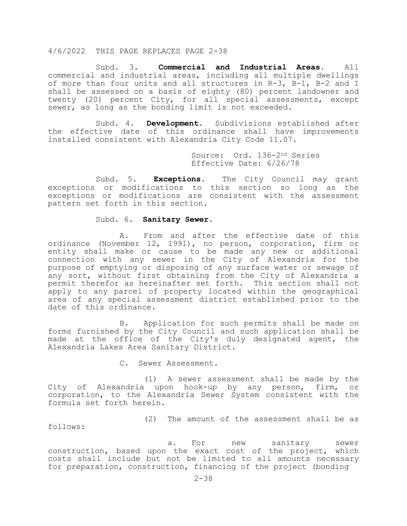Subd. 3. **Commercial and Industrial Areas**. All commercial and industrial areas, including all multiple dwellings of more than four units and all structures in R-3, B-1, B-2 and I shall be assessed on a basis of eighty (80) percent landowner and twenty (20) percent City, for all special assessments, except sewer, as long as the bonding limit is not exceeded.

Subd. 4. **Development**. Subdivisions established after the effective date of this ordinance shall have improvements installed consistent with Alexandria City Code 11.07.

> Source: Ord. 136-2nd Series Effective Date: 6/26/78

Subd. 5. **Exceptions**. The City Council may grant exceptions or modifications to this section so long as the exceptions or modifications are consistent with the assessment pattern set forth in this section.

#### Subd. 6. **Sanitary Sewer**.

A. From and after the effective date of this ordinance (November 12, 1991), no person, corporation, firm or entity shall make or cause to be made any new or additional connection with any sewer in the City of Alexandria for the purpose of emptying or disposing of any surface water or sewage of any sort, without first obtaining from the City of Alexandria a permit therefor as hereinafter set forth. This section shall not apply to any parcel of property located within the geographical area of any special assessment district established prior to the date of this ordinance.

B. Application for such permits shall be made on forms furnished by the City Council and such application shall be made at the office of the City's duly designated agent, the Alexandria Lakes Area Sanitary District.

C. Sewer Assessment.

(1) A sewer assessment shall be made by the City of Alexandria upon hook-up by any person, firm, or corporation, to the Alexandria Sewer System consistent with the formula set forth herein.

follows:

(2) The amount of the assessment shall be as

a. For new sanitary sewer construction, based upon the exact cost of the project, which costs shall include but not be limited to all amounts necessary for preparation, construction, financing of the project (bonding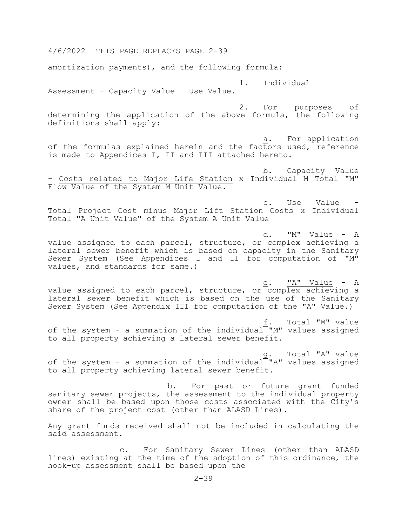4/6/2022 THIS PAGE REPLACES PAGE 2-39 amortization payments), and the following formula: 1. Individual Assessment - Capacity Value + Use Value. 2. For purposes of determining the application of the above formula, the following definitions shall apply: a. For application of the formulas explained herein and the factors used, reference is made to Appendices I, II and III attached hereto. b. Capacity Value - Costs related to Major Life Station x Individual M Total "M" Flow Value of the System M Unit Value. c. Use Value - Care Value - Care Value - Care Value - Care Value - Care Value - Care Value - Care Value - Care Value Total Project Cost minus Major Lift Station Costs x Individual Total "A Unit Value" of the System A Unit Value  $\underline{\mathbf{d}}$ .  $\underline{\mathbf{M''}}$  Value - A value assigned to each parcel, structure, or complex achieving a lateral sewer benefit which is based on capacity in the Sanitary Sewer System (See Appendices I and II for computation of "M" values, and standards for same.) e. "A" Value - A value assigned to each parcel, structure, or complex achieving a lateral sewer benefit which is based on the use of the Sanitary Sewer System (See Appendix III for computation of the "A" Value.) f. Total "M" value of the system - a summation of the individual "M" values assigned to all property achieving a lateral sewer benefit. g. Total "A" value of the system - a summation of the individual "A" values assigned to all property achieving lateral sewer benefit. b. For past or future grant funded sanitary sewer projects, the assessment to the individual property owner shall be based upon those costs associated with the City's share of the project cost (other than ALASD Lines). Any grant funds received shall not be included in calculating the said assessment. c. For Sanitary Sewer Lines (other than ALASD

lines) existing at the time of the adoption of this ordinance, the hook-up assessment shall be based upon the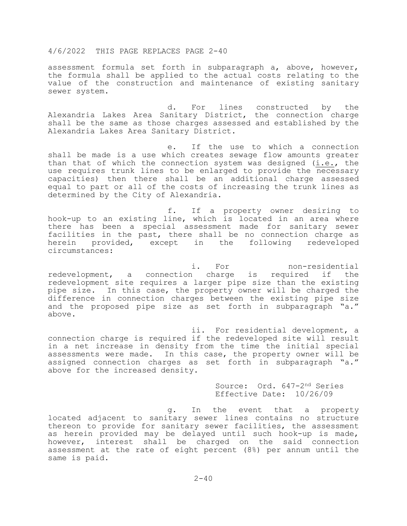assessment formula set forth in subparagraph a, above, however, the formula shall be applied to the actual costs relating to the value of the construction and maintenance of existing sanitary sewer system.

d. For lines constructed by the Alexandria Lakes Area Sanitary District, the connection charge shall be the same as those charges assessed and established by the Alexandria Lakes Area Sanitary District.

e. If the use to which a connection shall be made is a use which creates sewage flow amounts greater than that of which the connection system was designed (i.e., the use requires trunk lines to be enlarged to provide the necessary capacities) then there shall be an additional charge assessed equal to part or all of the costs of increasing the trunk lines as determined by the City of Alexandria.

f. If a property owner desiring to hook-up to an existing line, which is located in an area where there has been a special assessment made for sanitary sewer facilities in the past, there shall be no connection charge as herein provided, except in the following redeveloped circumstances:

i. For non-residential<br>i charge is required if the redevelopment, a connection charge is required if redevelopment site requires a larger pipe size than the existing pipe size. In this case, the property owner will be charged the difference in connection charges between the existing pipe size and the proposed pipe size as set forth in subparagraph "a." above.

ii. For residential development, a connection charge is required if the redeveloped site will result in a net increase in density from the time the initial special assessments were made. In this case, the property owner will be assigned connection charges as set forth in subparagraph "a." above for the increased density.

Source: Ord. 647-2nd Series Effective Date: 10/26/09

g. In the event that a property located adjacent to sanitary sewer lines contains no structure thereon to provide for sanitary sewer facilities, the assessment as herein provided may be delayed until such hook-up is made, however, interest shall be charged on the said connection assessment at the rate of eight percent (8%) per annum until the same is paid.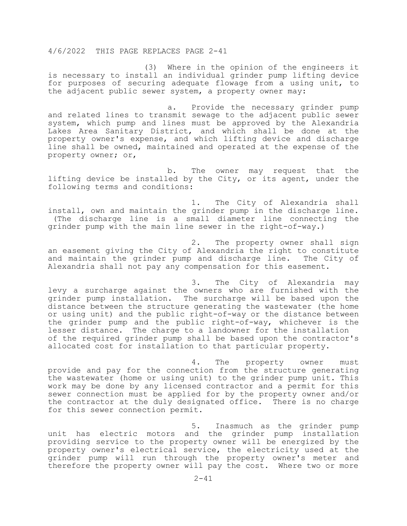(3) Where in the opinion of the engineers it is necessary to install an individual grinder pump lifting device for purposes of securing adequate flowage from a using unit, to the adjacent public sewer system, a property owner may:

a. Provide the necessary grinder pump and related lines to transmit sewage to the adjacent public sewer system, which pump and lines must be approved by the Alexandria Lakes Area Sanitary District, and which shall be done at the property owner's expense, and which lifting device and discharge line shall be owned, maintained and operated at the expense of the property owner; or,

b. The owner may request that the lifting device be installed by the City, or its agent, under the following terms and conditions:

1. The City of Alexandria shall install, own and maintain the grinder pump in the discharge line. (The discharge line is a small diameter line connecting the grinder pump with the main line sewer in the right-of-way.)

2. The property owner shall sign an easement giving the City of Alexandria the right to constitute<br>and maintain the grinder pump and discharge line. The City of and maintain the grinder pump and discharge line. Alexandria shall not pay any compensation for this easement.

3. The City of Alexandria may levy a surcharge against the owners who are furnished with the grinder pump installation. The surcharge will be based upon the distance between the structure generating the wastewater (the home or using unit) and the public right-of-way or the distance between the grinder pump and the public right-of-way, whichever is the lesser distance. The charge to a landowner for the installation of the required grinder pump shall be based upon the contractor's allocated cost for installation to that particular property.

4. The property owner must provide and pay for the connection from the structure generating the wastewater (home or using unit) to the grinder pump unit. This work may be done by any licensed contractor and a permit for this sewer connection must be applied for by the property owner and/or the contractor at the duly designated office. There is no charge for this sewer connection permit.

5. Inasmuch as the grinder pump unit has electric motors and the grinder pump installation providing service to the property owner will be energized by the property owner's electrical service, the electricity used at the grinder pump will run through the property owner's meter and therefore the property owner will pay the cost. Where two or more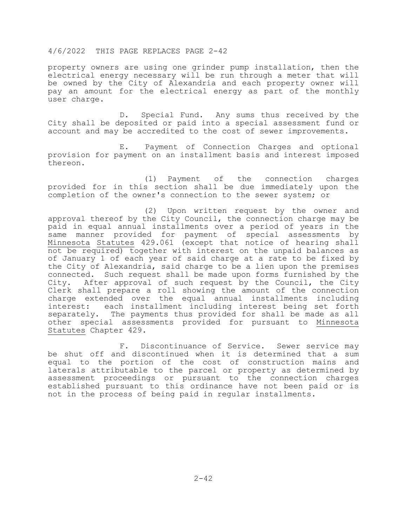property owners are using one grinder pump installation, then the electrical energy necessary will be run through a meter that will be owned by the City of Alexandria and each property owner will pay an amount for the electrical energy as part of the monthly user charge.

 D. Special Fund. Any sums thus received by the City shall be deposited or paid into a special assessment fund or account and may be accredited to the cost of sewer improvements.

 E. Payment of Connection Charges and optional provision for payment on an installment basis and interest imposed thereon.

 (1) Payment of the connection charges provided for in this section shall be due immediately upon the completion of the owner's connection to the sewer system; or

 (2) Upon written request by the owner and approval thereof by the City Council, the connection charge may be paid in equal annual installments over a period of years in the same manner provided for payment of special assessments by Minnesota Statutes 429.061 (except that notice of hearing shall not be required) together with interest on the unpaid balances as of January 1 of each year of said charge at a rate to be fixed by the City of Alexandria, said charge to be a lien upon the premises connected. Such request shall be made upon forms furnished by the<br>City. After approval of such request by the Council, the City After approval of such request by the Council, the City Clerk shall prepare a roll showing the amount of the connection charge extended over the equal annual installments including<br>interest: each installment including interest being set forth each installment including interest being set forth separately. The payments thus provided for shall be made as all other special assessments provided for pursuant to Minnesota Statutes Chapter 429.

 F. Discontinuance of Service. Sewer service may be shut off and discontinued when it is determined that a sum equal to the portion of the cost of construction mains and laterals attributable to the parcel or property as determined by assessment proceedings or pursuant to the connection charges established pursuant to this ordinance have not been paid or is not in the process of being paid in regular installments.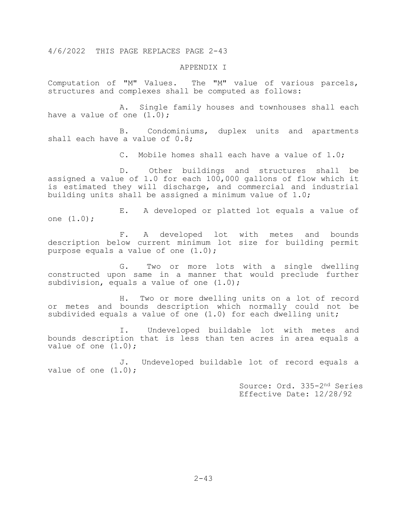#### APPENDIX I

Computation of "M" Values. The "M" value of various parcels, structures and complexes shall be computed as follows:

A. Single family houses and townhouses shall each have a value of one  $(1.0)$ ;

B. Condominiums, duplex units and apartments shall each have a value of 0.8;

C. Mobile homes shall each have a value of 1.0;

D. Other buildings and structures shall be assigned a value of 1.0 for each 100,000 gallons of flow which it is estimated they will discharge, and commercial and industrial building units shall be assigned a minimum value of 1.0;

E. A developed or platted lot equals a value of one (1.0);

F. A developed lot with metes and bounds description below current minimum lot size for building permit purpose equals a value of one (1.0);

G. Two or more lots with a single dwelling constructed upon same in a manner that would preclude further subdivision, equals a value of one  $(1.0)$ ;

H. Two or more dwelling units on a lot of record or metes and bounds description which normally could not be subdivided equals a value of one (1.0) for each dwelling unit;

I. Undeveloped buildable lot with metes and bounds description that is less than ten acres in area equals a value of one  $(1.0)$ ;

J. Undeveloped buildable lot of record equals a value of one  $(1.0)$ ;

> Source: Ord. 335-2nd Series Effective Date: 12/28/92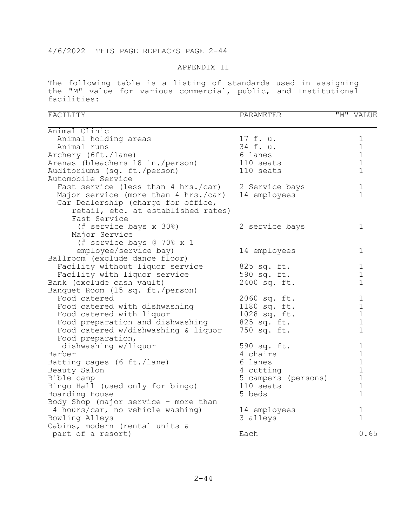#### APPENDIX II

The following table is a listing of standards used in assigning the "M" value for various commercial, public, and Institutional facilities:

| FACILITY                             | PARAMETER           | "M" VALUE    |
|--------------------------------------|---------------------|--------------|
| Animal Clinic                        |                     |              |
| Animal holding areas                 | 17 f. u.            | $\mathbf 1$  |
| Animal runs                          | 34 f. u.            | $\mathbf 1$  |
| Archery (6ft./lane)                  | 6 lanes             | $\mathbf 1$  |
| Arenas (bleachers 18 in./person)     | 110 seats           | $\mathbf 1$  |
| Auditoriums (sq. ft./person)         | 110 seats           | $\mathbf 1$  |
| Automobile Service                   |                     |              |
| Fast service (less than 4 hrs./car)  | 2 Service bays      | 1            |
| Major service (more than 4 hrs./car) | 14 employees        | $\mathbf{1}$ |
| Car Dealership (charge for office,   |                     |              |
| retail, etc. at established rates)   |                     |              |
| Fast Service                         |                     |              |
| (# service bays x 30%)               | 2 service bays      | 1            |
| Major Service                        |                     |              |
| (# service bays @ 70% x 1            |                     |              |
| employee/service bay)                | 14 employees        | 1            |
| Ballroom (exclude dance floor)       |                     |              |
| Facility without liquor service      | 825 sq. ft.         | 1            |
| Facility with liquor service         | 590 sq. ft.         | $\mathbf 1$  |
| Bank (exclude cash vault)            | 2400 sq. ft.        | $\mathbf 1$  |
| Banquet Room (15 sq. ft./person)     |                     |              |
| Food catered                         | 2060 sq. ft.        | $\mathbf 1$  |
| Food catered with dishwashing        | 1180 sq. ft.        | $\mathbf 1$  |
| Food catered with liquor             | 1028 sq. ft.        | $1\,$        |
| Food preparation and dishwashing     | 825 sq. ft.         | $\mathbf 1$  |
| Food catered w/dishwashing & liquor  | 750 sq. ft.         | $\mathbf{1}$ |
| Food preparation,                    |                     |              |
| dishwashing w/liquor                 | 590 sq. ft.         | $\mathbf 1$  |
| Barber                               | 4 chairs            | $1\,$        |
| Batting cages (6 ft./lane)           | 6 lanes             | $\mathbf 1$  |
| Beauty Salon                         | 4 cutting           | $\mathbf 1$  |
| Bible camp                           | 5 campers (persons) | $\mathbf 1$  |
| Bingo Hall (used only for bingo)     | 110 seats           | $\mathbf 1$  |
| Boarding House                       | 5 beds              | $\mathbf 1$  |
| Body Shop (major service - more than |                     |              |
| 4 hours/car, no vehicle washing)     | 14 employees        | 1            |
| Bowling Alleys                       | 3 alleys            | $\mathbf{1}$ |
| Cabins, modern (rental units &       |                     |              |
| part of a resort)                    | Each                | 0.65         |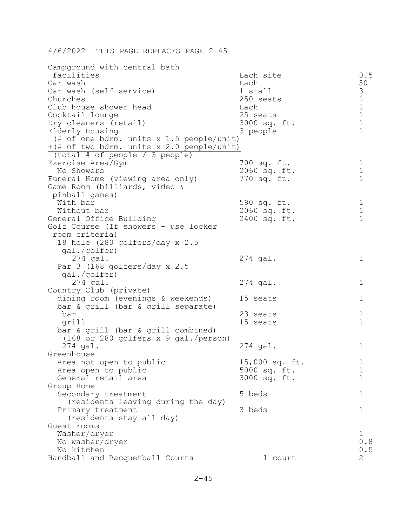| Campground with central bath                         |                             |                                            |
|------------------------------------------------------|-----------------------------|--------------------------------------------|
| facilities                                           | Each site                   | 0.5                                        |
| Car wash                                             | Each                        | 30                                         |
| Car wash (self-service)                              | 1 stall                     |                                            |
| Churches                                             | 250 seats                   | $\begin{array}{c} 3 \\ 1 \\ 1 \end{array}$ |
| Club house shower head                               | Each                        |                                            |
| Cocktail lounge                                      | 25 seats                    | $\mathbf 1$                                |
| Dry cleaners (retail)                                | 3000 sq. ft.                | $\mathbf 1$                                |
| Elderly Housing                                      | 3 people                    | $\mathbf{1}$                               |
| (# of one bdrm. units x 1.5 people/unit)             |                             |                                            |
| +(# of two bdrm. units x 2.0 people/unit)            |                             |                                            |
| (total $#$ of people / 3 people)                     |                             |                                            |
| Exercise Area/Gym<br>No Showers                      | 700 sq. ft.                 | $\mathbf 1$<br>$\mathbf 1$                 |
| Funeral Home (viewing area only)                     | 2060 sq. ft.<br>770 sq. ft. | $\mathbf{1}$                               |
| Game Room (billiards, video &                        |                             |                                            |
| pinball games)                                       |                             |                                            |
| With bar                                             | 590 sq. ft.                 | $\mathbf 1$                                |
| Without bar                                          | 2060 sq. ft.                | $1\,$                                      |
| General Office Building                              | 2400 sq. ft.                | $\mathbf{1}$                               |
| Golf Course (If showers - use locker                 |                             |                                            |
| room criteria)                                       |                             |                                            |
| 18 hole (280 golfers/day x 2.5                       |                             |                                            |
| gal./golfer)                                         |                             |                                            |
| $274$ gal.                                           | $274$ gal.                  | 1                                          |
| Par $3$ (168 golfers/day x 2.5                       |                             |                                            |
| gal./golfer)                                         |                             |                                            |
| $274$ gal.                                           | $274$ gal.                  | 1                                          |
| Country Club (private)                               |                             |                                            |
| dining room (evenings & weekends)                    | 15 seats                    | 1                                          |
| bar & grill (bar & grill separate)                   |                             |                                            |
| bar                                                  | 23 seats                    | $\mathbf 1$<br>$\mathbf{1}$                |
| grill                                                | 15 seats                    |                                            |
| bar & grill (bar & grill combined)                   |                             |                                            |
| $(168$ or 280 golfers x 9 gal./person)<br>$274$ gal. |                             | 1                                          |
| Greenhouse                                           | $274$ gal.                  |                                            |
| Area not open to public                              | 15,000 sq. ft.              | 1                                          |
| Area open to public                                  | 5000 sq. ft.                | $\mathbf 1$                                |
| General retail area                                  | 3000 sq. ft.                | 1                                          |
| Group Home                                           |                             |                                            |
| Secondary treatment                                  | 5 beds                      | 1                                          |
| (residents leaving during the day)                   |                             |                                            |
| Primary treatment                                    | 3 beds                      | 1                                          |
| (residents stay all day)                             |                             |                                            |
| Guest rooms                                          |                             |                                            |
| Washer/dryer                                         |                             | 1                                          |
| No washer/dryer                                      |                             | 0.8                                        |
| No kitchen                                           |                             | 0.5                                        |
| Handball and Racquetball Courts                      | 1 court                     | 2                                          |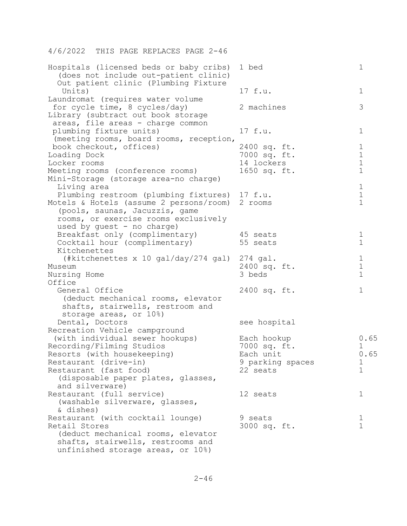| Hospitals (licensed beds or baby cribs)<br>(does not include out-patient clinic)<br>Out patient clinic (Plumbing Fixture | 1 bed                  | 1                          |
|--------------------------------------------------------------------------------------------------------------------------|------------------------|----------------------------|
| Units)                                                                                                                   | 17 f.u.                | 1                          |
| Laundromat (requires water volume<br>for cycle time, 8 cycles/day)<br>Library (subtract out book storage                 | 2 machines             | 3                          |
| areas, file areas - charge common<br>plumbing fixture units)<br>(meeting rooms, board rooms, reception,                  | 17 f.u.                | 1                          |
| book checkout, offices)                                                                                                  | 2400 sq. ft.           | $\mathbf 1$                |
| Loading Dock                                                                                                             | 7000 sq. ft.           | $\mathbf 1$                |
| Locker rooms                                                                                                             | 14 lockers             | $\mathbf 1$                |
| Meeting rooms (conference rooms)<br>Mini-Storage (storage area-no charge)                                                | 1650 sq. ft.           | $\mathbf 1$                |
| Living area                                                                                                              |                        | $\mathbf 1$                |
| Plumbing restroom (plumbing fixtures) 17 f.u.                                                                            |                        | $\mathbf 1$                |
| Motels & Hotels (assume 2 persons/room)                                                                                  | 2 rooms                | $\mathbf{1}$               |
| (pools, saunas, Jacuzzis, game                                                                                           |                        |                            |
| rooms, or exercise rooms exclusively                                                                                     |                        |                            |
| used by guest - no charge)                                                                                               |                        |                            |
| Breakfast only (complimentary)                                                                                           | 45 seats               | $\mathbf 1$                |
| Cocktail hour (complimentary)                                                                                            | 55 seats               | $\mathbf 1$                |
| Kitchenettes                                                                                                             |                        |                            |
| (#kitchenettes x 10 gal/day/274 gal)                                                                                     | $274$ gal.             | $\mathbf 1$<br>$\mathbf 1$ |
| Museum                                                                                                                   | 2400 sq. ft.<br>3 beds | $\mathbf{1}$               |
| Nursing Home<br>Office                                                                                                   |                        |                            |
| General Office                                                                                                           | 2400 sq. ft.           | $\mathbf 1$                |
| (deduct mechanical rooms, elevator                                                                                       |                        |                            |
| shafts, stairwells, restroom and                                                                                         |                        |                            |
| storage areas, or 10%)                                                                                                   |                        |                            |
| Dental, Doctors                                                                                                          | see hospital           |                            |
| Recreation Vehicle campground                                                                                            |                        |                            |
| (with individual sewer hookups)                                                                                          | Each hookup            | 0.65                       |
| Recording/Filming Studios                                                                                                | 7000 sq. ft.           | 1                          |
| Resorts (with housekeeping)                                                                                              | Each unit              | 0.65                       |
| Restaurant (drive-in)                                                                                                    | 9 parking spaces       | 1                          |
| Restaurant (fast food)                                                                                                   | 22 seats               | 1                          |
| (disposable paper plates, glasses,                                                                                       |                        |                            |
| and silverware)                                                                                                          |                        |                            |
| Restaurant (full service)<br>(washable silverware, glasses,                                                              | 12 seats               | 1                          |
| & dishes)                                                                                                                |                        |                            |
| Restaurant (with cocktail lounge)                                                                                        | 9 seats                | $\mathbf 1$                |
| Retail Stores                                                                                                            | 3000 sq. ft.           | $\mathbf 1$                |
| (deduct mechanical rooms, elevator                                                                                       |                        |                            |
| shafts, stairwells, restrooms and<br>unfinished storage areas, or 10%)                                                   |                        |                            |
|                                                                                                                          |                        |                            |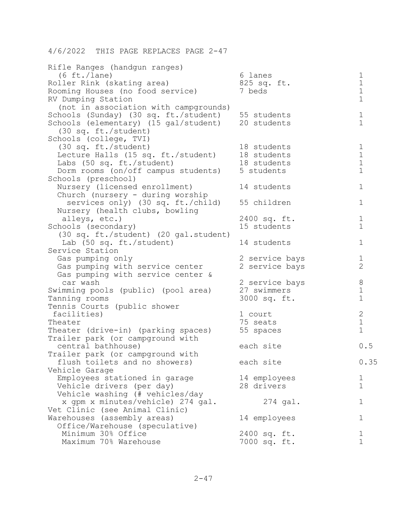| Rifle Ranges (handgun ranges)         |                |                |
|---------------------------------------|----------------|----------------|
| $(6 \text{ ft.}/\text{lane})$         | 6 lanes        | $\mathbf 1$    |
| Roller Rink (skating area)            | 825 sq. ft.    | $\mathbf 1$    |
| Rooming Houses (no food service)      | 7 beds         | $1\,$          |
| RV Dumping Station                    |                | $\mathbf 1$    |
| (not in association with campgrounds) |                |                |
| Schools (Sunday) (30 sq. ft./student) | 55 students    | $\mathbf 1$    |
| Schools (elementary) (15 gal/student) | 20 students    | $\mathbf 1$    |
| (30 sq. ft./student)                  |                |                |
| Schools (college, TVI)                |                |                |
| (30 sq. ft./student)                  | 18 students    | $\mathbf 1$    |
| Lecture Halls (15 sq. ft./student)    | 18 students    | $1\,$          |
| Labs (50 sq. ft./student)             | 18 students    | $1\,$          |
| Dorm rooms (on/off campus students)   | 5 students     | $\mathbf 1$    |
| Schools (preschool)                   |                |                |
| Nursery (licensed enrollment)         | 14 students    | $\mathbf 1$    |
| Church (nursery - during worship      |                |                |
| services only) (30 sq. ft./child)     | 55 children    | $\mathbf 1$    |
| Nursery (health clubs, bowling        |                |                |
| alleys, etc.)                         | 2400 sq. ft.   | $\mathbf 1$    |
| Schools (secondary)                   | 15 students    | $\mathbf 1$    |
| (30 sq. ft./student) (20 gal.student) |                |                |
| Lab (50 sq. ft./student)              | 14 students    | 1              |
| Service Station                       |                |                |
| Gas pumping only                      | 2 service bays | $\mathbf 1$    |
| Gas pumping with service center       | 2 service bays | $\overline{2}$ |
| Gas pumping with service center &     |                |                |
| car wash                              | 2 service bays | $8\,$          |
| Swimming pools (public) (pool area)   | 27 swimmers    | $\mathbf 1$    |
| Tanning rooms                         | 3000 sq. ft.   | $\mathbf 1$    |
| Tennis Courts (public shower          |                |                |
| facilities)                           | 1 court        | $\mathbf{2}$   |
| Theater                               | 75 seats       | $\mathbf 1$    |
| Theater (drive-in) (parking spaces)   | 55 spaces      | $\mathbf 1$    |
| Trailer park (or campground with      |                |                |
| central bathhouse)                    | each site      | 0.5            |
| Trailer park (or campground with      |                |                |
| flush toilets and no showers)         | each site      | 0.35           |
| Vehicle Garage                        |                |                |
| Employees stationed in garage         | 14 employees   | 1              |
| Vehicle drivers (per day)             | 28 drivers     | $\mathbf 1$    |
| Vehicle washing (# vehicles/day       |                |                |
| x qpm x minutes/vehicle) 274 gal.     | $274$ gal.     | 1              |
| Vet Clinic (see Animal Clinic)        |                |                |
| Warehouses (assembly areas)           | 14 employees   | 1              |
| Office/Warehouse (speculative)        |                |                |
| Minimum 30% Office                    | 2400 sq. ft.   | 1              |
| Maximum 70% Warehouse                 | 7000 sq. ft.   | $\mathbf{1}$   |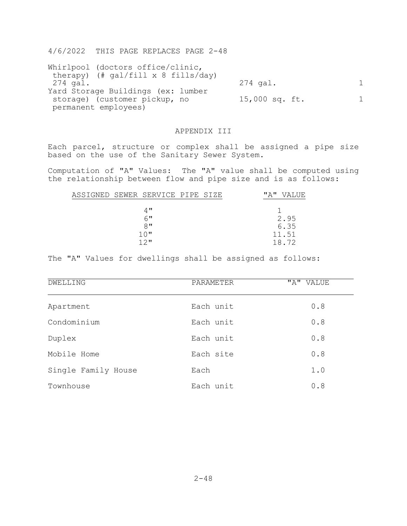| Whirlpool (doctors office/clinic,      |                |  |
|----------------------------------------|----------------|--|
| therapy) $(\#$ qal/fill x 8 fills/day) |                |  |
| 274 gal.                               | $274$ gal.     |  |
| Yard Storage Buildings (ex: lumber     |                |  |
| storage) (customer pickup, no          | 15,000 sq. ft. |  |
| permanent employees)                   |                |  |

## APPENDIX III

Each parcel, structure or complex shall be assigned a pipe size based on the use of the Sanitary Sewer System.

Computation of "A" Values: The "A" value shall be computed using the relationship between flow and pipe size and is as follows:

| ASSIGNED SEWER SERVICE PIPE SIZE |       |  | " A " | <b>VALUE</b> |
|----------------------------------|-------|--|-------|--------------|
|                                  |       |  |       |              |
|                                  | $4$ " |  |       |              |
|                                  | 6"    |  |       | 2.95         |
|                                  | $8$ " |  |       | 6.35         |
|                                  | 10"   |  |       | 11.51        |
|                                  | 12"   |  |       | 18.72        |
|                                  |       |  |       |              |

The "A" Values for dwellings shall be assigned as follows:

| DWELLING            | PARAMETER | "A" VALUE |
|---------------------|-----------|-----------|
| Apartment           | Each unit | 0.8       |
| Condominium         | Each unit | 0.8       |
| Duplex              | Each unit | 0.8       |
| Mobile Home         | Each site | 0.8       |
| Single Family House | Each      | 1.0       |
| Townhouse           | Each unit | 0.8       |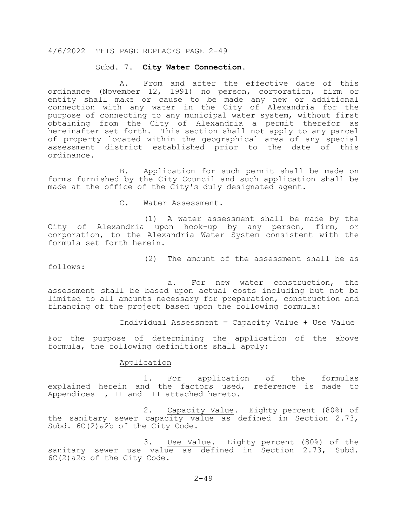#### Subd. 7. **City Water Connection**.

 A. From and after the effective date of this ordinance (November 12, 1991) no person, corporation, firm or entity shall make or cause to be made any new or additional connection with any water in the City of Alexandria for the purpose of connecting to any municipal water system, without first obtaining from the City of Alexandria a permit therefor as hereinafter set forth. This section shall not apply to any parcel of property located within the geographical area of any special assessment district established prior to the date of this ordinance.

B. Application for such permit shall be made on forms furnished by the City Council and such application shall be made at the office of the City's duly designated agent.

C. Water Assessment.

 (1) A water assessment shall be made by the City of Alexandria upon hook-up by any person, firm, or corporation, to the Alexandria Water System consistent with the formula set forth herein.

(2) The amount of the assessment shall be as

follows:

 a. For new water construction, the assessment shall be based upon actual costs including but not be limited to all amounts necessary for preparation, construction and financing of the project based upon the following formula:

Individual Assessment = Capacity Value + Use Value

For the purpose of determining the application of the above formula, the following definitions shall apply:

## Application

 1. For application of the formulas explained herein and the factors used, reference is made to Appendices I, II and III attached hereto.

 2. Capacity Value. Eighty percent (80%) of the sanitary sewer capacity value as defined in Section 2.73, Subd. 6C(2)a2b of the City Code.

 3. Use Value. Eighty percent (80%) of the sanitary sewer use value as defined in Section 2.73, Subd. 6C(2)a2c of the City Code.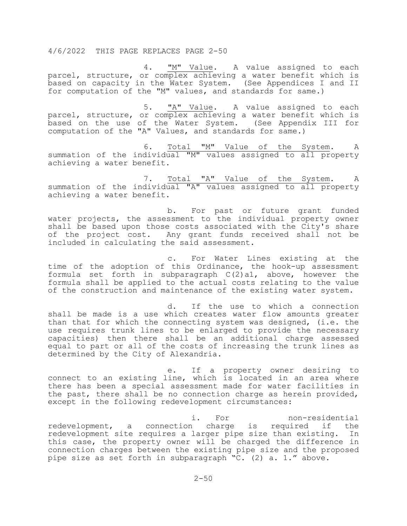4. "M" Value. A value assigned to each parcel, structure, or complex achieving a water benefit which is based on capacity in the Water System. (See Appendices I and II for computation of the "M" values, and standards for same.)

 5. "A" Value. A value assigned to each parcel, structure, or complex achieving a water benefit which is based on the use of the Water System. (See Appendix III for computation of the "A" Values, and standards for same.)

 6. Total "M" Value of the System. A summation of the individual "M" values assigned to all property achieving a water benefit.

 7. Total "A" Value of the System. A summation of the individual "A" values assigned to all property achieving a water benefit.

 b. For past or future grant funded water projects, the assessment to the individual property owner shall be based upon those costs associated with the City's share of the project cost. Any grant funds received shall not be included in calculating the said assessment.

c. For Water Lines existing at the time of the adoption of this Ordinance, the hook-up assessment formula set forth in subparagraph  $C(2)$ al, above, however the formula shall be applied to the actual costs relating to the value of the construction and maintenance of the existing water system.

 d. If the use to which a connection shall be made is a use which creates water flow amounts greater than that for which the connecting system was designed, (i.e. the use requires trunk lines to be enlarged to provide the necessary capacities) then there shall be an additional charge assessed equal to part or all of the costs of increasing the trunk lines as determined by the City of Alexandria.

 e. If a property owner desiring to connect to an existing line, which is located in an area where there has been a special assessment made for water facilities in the past, there shall be no connection charge as herein provided, except in the following redevelopment circumstances:

i. For non-residential intervalse in the monomersidential redevelopment, a connection charge is required if the redevelopment site requires a larger pipe size than existing. In this case, the property owner will be charged the difference in connection charges between the existing pipe size and the proposed pipe size as set forth in subparagraph "C. (2) a. 1." above.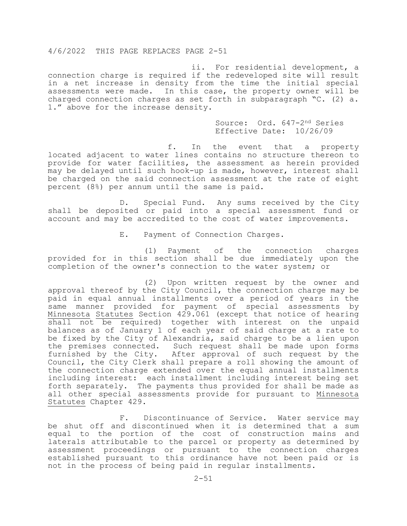ii. For residential development, a connection charge is required if the redeveloped site will result in a net increase in density from the time the initial special assessments were made. In this case, the property owner will be charged connection charges as set forth in subparagraph "C. (2) a. 1." above for the increase density.

> Source: Ord. 647-2nd Series Effective Date: 10/26/09

 f. In the event that a property located adjacent to water lines contains no structure thereon to provide for water facilities, the assessment as herein provided may be delayed until such hook-up is made, however, interest shall be charged on the said connection assessment at the rate of eight percent (8%) per annum until the same is paid.

 D. Special Fund. Any sums received by the City shall be deposited or paid into a special assessment fund or account and may be accredited to the cost of water improvements.

E. Payment of Connection Charges.

 (1) Payment of the connection charges provided for in this section shall be due immediately upon the completion of the owner's connection to the water system; or

 (2) Upon written request by the owner and approval thereof by the City Council, the connection charge may be paid in equal annual installments over a period of years in the same manner provided for payment of special assessments by Minnesota Statutes Section 429.061 (except that notice of hearing shall not be required) together with interest on the unpaid balances as of January 1 of each year of said charge at a rate to be fixed by the City of Alexandria, said charge to be a lien upon the premises connected. Such request shall be made upon forms furnished by the City. After approval of such request by the Council, the City Clerk shall prepare a roll showing the amount of the connection charge extended over the equal annual installments including interest: each installment including interest being set forth separately. The payments thus provided for shall be made as all other special assessments provide for pursuant to Minnesota Statutes Chapter 429.

 F. Discontinuance of Service. Water service may be shut off and discontinued when it is determined that a sum equal to the portion of the cost of construction mains and laterals attributable to the parcel or property as determined by assessment proceedings or pursuant to the connection charges established pursuant to this ordinance have not been paid or is not in the process of being paid in regular installments.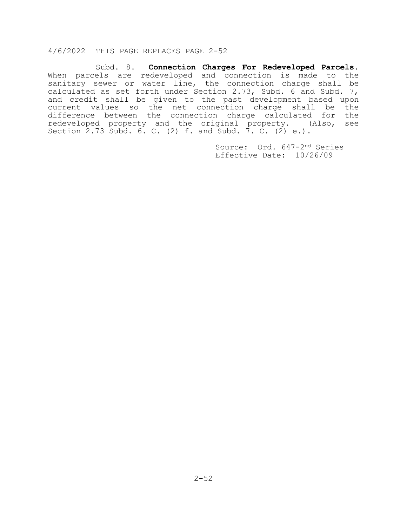Subd. 8. **Connection Charges For Redeveloped Parcels**. When parcels are redeveloped and connection is made to the sanitary sewer or water line, the connection charge shall be calculated as set forth under Section 2.73, Subd. 6 and Subd. 7, and credit shall be given to the past development based upon current values so the net connection charge shall be the difference between the connection charge calculated for the redeveloped property and the original property. (Also, see redeveloped property and the original property. Section 2.73 Subd. 6. C. (2)  $f.$  and Subd. 7. C. (2)  $e.$ ).

> Source: Ord. 647-2nd Series Effective Date: 10/26/09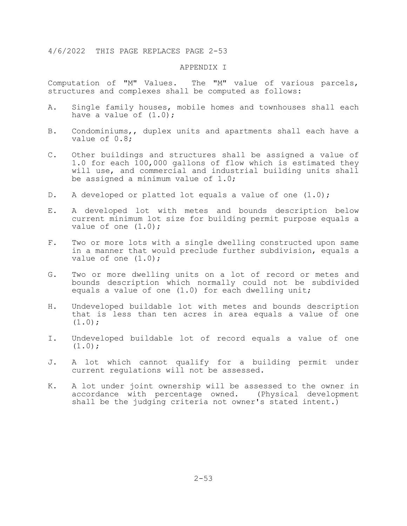#### APPENDIX I

Computation of "M" Values. The "M" value of various parcels, structures and complexes shall be computed as follows:

- A. Single family houses, mobile homes and townhouses shall each have a value of  $(1.0)$ ;
- B. Condominiums,, duplex units and apartments shall each have a value of 0.8;
- C. Other buildings and structures shall be assigned a value of 1.0 for each 100,000 gallons of flow which is estimated they will use, and commercial and industrial building units shall be assigned a minimum value of 1.0;
- D. A developed or platted lot equals a value of one (1.0);
- E. A developed lot with metes and bounds description below current minimum lot size for building permit purpose equals a value of one  $(1.0)$ ;
- F. Two or more lots with a single dwelling constructed upon same in a manner that would preclude further subdivision, equals a value of one  $(1.0)$ ;
- G. Two or more dwelling units on a lot of record or metes and bounds description which normally could not be subdivided equals a value of one (1.0) for each dwelling unit;
- H. Undeveloped buildable lot with metes and bounds description that is less than ten acres in area equals a value of one  $(1.0)$ ;
- I. Undeveloped buildable lot of record equals a value of one  $(1.0)$ ;
- J. A lot which cannot qualify for a building permit under current regulations will not be assessed.
- K. A lot under joint ownership will be assessed to the owner in accordance with percentage owned. (Physical development shall be the judging criteria not owner's stated intent.)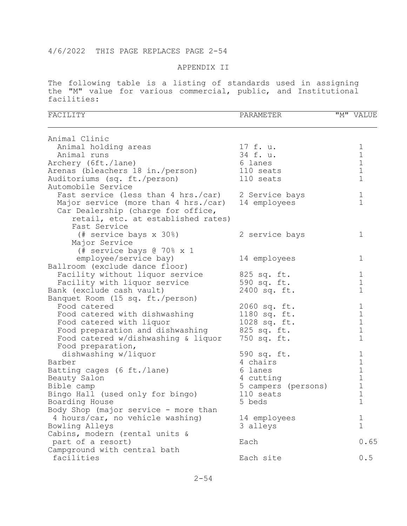## APPENDIX II

The following table is a listing of standards used in assigning the "M" value for various commercial, public, and Institutional facilities:

| FACILITY                                           | PARAMETER           | "M" VALUE    |
|----------------------------------------------------|---------------------|--------------|
| Animal Clinic                                      |                     |              |
| Animal holding areas                               | 17 f. u.            | 1            |
| Animal runs                                        | 34 f. u.            | $\mathbf 1$  |
| Archery (6ft./lane)                                | 6 lanes             | $1\,$        |
| Arenas (bleachers 18 in./person)                   | 110 seats           | $1\,$        |
| Auditoriums (sq. ft./person)                       | 110 seats           | $\mathbf{1}$ |
| Automobile Service                                 |                     |              |
| Fast service (less than 4 hrs./car) 2 Service bays |                     | $\mathbf 1$  |
| Major service (more than 4 hrs./car)               | 14 employees        | $\mathbf{1}$ |
| Car Dealership (charge for office,                 |                     |              |
| retail, etc. at established rates)                 |                     |              |
| Fast Service                                       |                     |              |
| (# service bays x 30%)                             | 2 service bays      | 1            |
| Major Service                                      |                     |              |
| (# service bays @ 70% x 1                          |                     |              |
| employee/service bay)                              | 14 employees        | 1            |
| Ballroom (exclude dance floor)                     |                     |              |
| Facility without liquor service                    | 825 sq. ft.         | 1            |
| Facility with liquor service                       | 590 sq. ft.         | $\mathbf 1$  |
| Bank (exclude cash vault)                          | 2400 sq. ft.        | $\mathbf 1$  |
| Banquet Room (15 sq. ft./person)                   |                     |              |
| Food catered                                       | 2060 sq. ft.        | 1            |
| Food catered with dishwashing                      | 1180 sq. ft.        | $1\,$        |
| Food catered with liquor                           | 1028 sq. ft.        | $\mathbf 1$  |
| Food preparation and dishwashing                   | 825 sq. ft.         | $1\,$        |
| Food catered w/dishwashing & liquor                | 750 sq. ft.         | $\mathbf 1$  |
| Food preparation,                                  |                     |              |
| dishwashing w/liquor                               | 590 sq. ft.         | 1            |
| Barber                                             | 4 chairs            | $\mathbf 1$  |
| Batting cages (6 ft./lane)                         | 6 lanes             | $\mathbf 1$  |
| Beauty Salon                                       | 4 cutting           | $1\,$        |
| Bible camp                                         | 5 campers (persons) | $\mathbf 1$  |
| Bingo Hall (used only for bingo)                   | 110 seats           | $\mathbf 1$  |
| Boarding House                                     | 5 beds              | 1            |
| Body Shop (major service - more than               |                     |              |
| 4 hours/car, no vehicle washing)                   | 14 employees        | T            |
| Bowling Alleys                                     | 3 alleys            | $\mathbf 1$  |
| Cabins, modern (rental units &                     |                     |              |
| part of a resort)                                  | Each                | 0.65         |
| Campground with central bath                       |                     |              |
| facilities                                         | Each site           | 0.5          |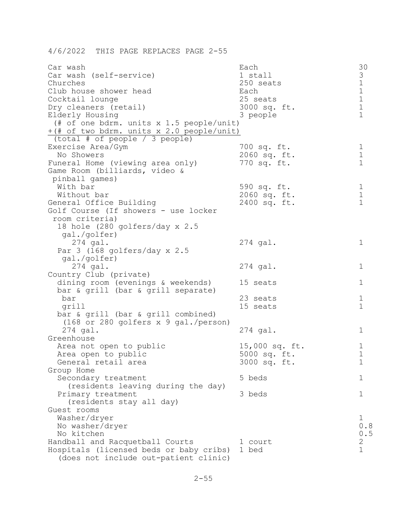| Car wash                                      | Each           | 30            |
|-----------------------------------------------|----------------|---------------|
| Car wash (self-service)                       | 1 stall        | 3             |
| Churches                                      | 250 seats      | $\mathbf 1$   |
| Club house shower head                        | Each           | $\mathbbm{1}$ |
| Cocktail lounge                               | 25 seats       | $\mathbf 1$   |
| Dry cleaners (retail)                         | 3000 sq. ft.   | $\mathbf 1$   |
| Elderly Housing                               | 3 people       | $\mathbf 1$   |
| (# of one bdrm. units x 1.5 people/unit)      |                |               |
| +(# of two bdrm. units x 2.0 people/unit)     |                |               |
| $\sqrt{\text{total}}$ # of people / 3 people) |                |               |
| Exercise Area/Gym                             | 700 sq. ft.    | 1             |
| No Showers                                    | 2060 sq. ft.   | $\mathbf 1$   |
| Funeral Home (viewing area only)              | 770 sq. ft.    | $\mathbf 1$   |
| Game Room (billiards, video &                 |                |               |
| pinball games)                                |                |               |
| With bar                                      | 590 sq. ft.    | 1             |
| Without bar                                   | 2060 sq. ft.   | $1\,$         |
| General Office Building                       | 2400 sq. ft.   | $\mathbf 1$   |
| Golf Course (If showers - use locker          |                |               |
| room criteria)                                |                |               |
| 18 hole (280 golfers/day x 2.5                |                |               |
| gal./golfer)                                  |                |               |
| $274$ gal.                                    | $274$ gal.     | 1             |
| Par $3$ (168 golfers/day x 2.5                |                |               |
| gal./golfer)                                  |                |               |
| $274$ gal.                                    | 274 gal.       | ı             |
| Country Club (private)                        |                |               |
| dining room (evenings & weekends)             | 15 seats       | 1             |
| bar & grill (bar & grill separate)            |                |               |
| bar                                           | 23 seats       | 1             |
| grill                                         | 15 seats       | 1             |
| bar & grill (bar & grill combined)            |                |               |
| $(168$ or 280 golfers x 9 gal./person)        |                |               |
| $274$ gal.                                    | $274$ gal.     | ı             |
| Greenhouse                                    |                |               |
| Area not open to public                       | 15,000 sq. ft. | 1             |
| Area open to public                           | 5000 sq. ft.   | 1             |
| General retail area                           | 3000 sq. ft.   | 1             |
| Group Home                                    |                |               |
| Secondary treatment                           | 5 beds         | 1             |
| (residents leaving during the day)            |                |               |
| Primary treatment                             | 3 beds         | 1             |
| (residents stay all day)                      |                |               |
| Guest rooms                                   |                |               |
| Washer/dryer                                  |                | 1             |
| No washer/dryer                               |                | 0.8           |
| No kitchen                                    |                | 0.5           |
| Handball and Racquetball Courts               | 1 court        | 2             |
| Hospitals (licensed beds or baby cribs)       | 1 bed          | 1             |
| (does not include out-patient clinic)         |                |               |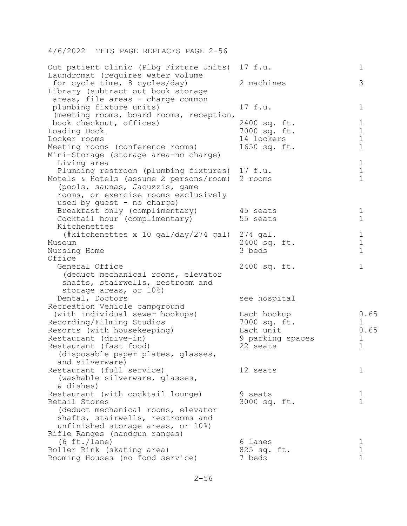| Out patient clinic (Plbg Fixture Units) 17 f.u.<br>Laundromat (requires water volume                     |                              | 1                          |
|----------------------------------------------------------------------------------------------------------|------------------------------|----------------------------|
| for cycle time, 8 cycles/day)<br>Library (subtract out book storage<br>areas, file areas - charge common | 2 machines                   | 3                          |
| plumbing fixture units)<br>(meeting rooms, board rooms, reception,                                       | 17 f.u.                      | 1                          |
| book checkout, offices)                                                                                  | 2400 sq. ft.                 | 1                          |
| Loading Dock                                                                                             | 7000 sq. ft.                 | $1\,$                      |
| Locker rooms                                                                                             | 14 lockers                   | $\mathbf 1$                |
| Meeting rooms (conference rooms)<br>Mini-Storage (storage area-no charge)                                | 1650 sq. ft.                 | $\mathbf 1$                |
| Living area                                                                                              |                              | 1                          |
| Plumbing restroom (plumbing fixtures) 17 f.u.                                                            |                              | $1\,$                      |
| Motels & Hotels (assume 2 persons/room) 2 rooms                                                          |                              | $\mathbf 1$                |
| (pools, saunas, Jacuzzis, game                                                                           |                              |                            |
| rooms, or exercise rooms exclusively                                                                     |                              |                            |
| used by guest - no charge)                                                                               |                              |                            |
| Breakfast only (complimentary)<br>Cocktail hour (complimentary)                                          | 45 seats<br>55 seats         | 1<br>$\mathbf 1$           |
| Kitchenettes                                                                                             |                              |                            |
| (#kitchenettes x 10 gal/day/274 gal)                                                                     | $274$ gal.                   | 1                          |
| Museum                                                                                                   | 2400 sq. ft.                 | $\mathbf 1$                |
| Nursing Home                                                                                             | 3 beds                       | $\mathbf 1$                |
| Office                                                                                                   |                              |                            |
| General Office                                                                                           | 2400 sq. ft.                 | $\mathbf 1$                |
| (deduct mechanical rooms, elevator                                                                       |                              |                            |
| shafts, stairwells, restroom and                                                                         |                              |                            |
| storage areas, or 10%)                                                                                   |                              |                            |
| Dental, Doctors                                                                                          | see hospital                 |                            |
| Recreation Vehicle campground                                                                            |                              |                            |
| (with individual sewer hookups)                                                                          | Each hookup                  | 0.65                       |
| Recording/Filming Studios                                                                                | 7000 sq. ft.                 | 1                          |
| Resorts (with housekeeping)                                                                              | Each unit                    | 0.65                       |
| Restaurant (drive-in)<br>Restaurant (fast food)                                                          | 9 parking spaces<br>22 seats | $\mathbf 1$<br>$\mathbf 1$ |
| (disposable paper plates, glasses,                                                                       |                              |                            |
| and silverware)                                                                                          |                              |                            |
| Restaurant (full service)                                                                                | 12 seats                     | 1                          |
| (washable silverware, glasses,                                                                           |                              |                            |
| & dishes)                                                                                                |                              |                            |
| Restaurant (with cocktail lounge)                                                                        | 9 seats                      | 1                          |
| Retail Stores                                                                                            | 3000 sq. ft.                 | $\mathbf{1}$               |
| (deduct mechanical rooms, elevator                                                                       |                              |                            |
| shafts, stairwells, restrooms and                                                                        |                              |                            |
| unfinished storage areas, or 10%)                                                                        |                              |                            |
| Rifle Ranges (handgun ranges)                                                                            |                              |                            |
| $(6 \text{ ft.}/\text{lane})$                                                                            | 6 lanes                      | 1                          |
| Roller Rink (skating area)                                                                               | 825 sq. ft.                  | $\mathbf 1$                |
| Rooming Houses (no food service)                                                                         | 7 beds                       | $\mathbf{1}$               |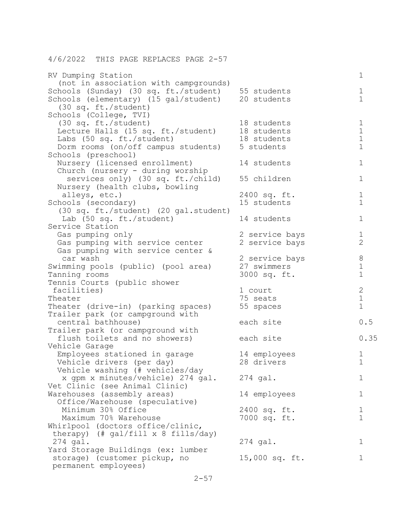| 4/6/2022 THIS PAGE REPLACES PAGE 2-57                                                                                       |                                               |                                 |
|-----------------------------------------------------------------------------------------------------------------------------|-----------------------------------------------|---------------------------------|
| RV Dumping Station<br>(not in association with campgrounds)                                                                 |                                               | 1                               |
| Schools (Sunday) (30 sq. ft./student)<br>Schools (elementary) (15 gal/student)<br>$(30 \text{ sq. ft./student})$            | 55 students<br>20 students                    | 1<br>$\mathbf 1$                |
| Schools (College, TVI)<br>$(30 \text{ sq. ft./student})$<br>Lecture Halls (15 sq. ft./student)<br>Labs (50 sq. ft./student) | 18 students<br>18 students<br>18 students     | 1<br>$\mathbf 1$<br>$1\,$       |
| Dorm rooms (on/off campus students)<br>Schools (preschool)                                                                  | 5 students                                    | $\mathbf 1$                     |
| Nursery (licensed enrollment)<br>Church (nursery - during worship                                                           | 14 students                                   | $\mathbf{1}$                    |
| services only) (30 sq. ft./child)<br>Nursery (health clubs, bowling                                                         | 55 children                                   | 1                               |
| alleys, etc.)<br>Schools (secondary)<br>(30 sq. ft./student) (20 gal.student)                                               | 2400 sq. ft.<br>15 students                   | 1<br>$\mathbf 1$                |
| Lab (50 sq. ft./student)<br>Service Station                                                                                 | 14 students                                   | 1                               |
| Gas pumping only<br>Gas pumping with service center<br>Gas pumping with service center &                                    | 2 service bays<br>2 service bays              | 1<br>$\overline{2}$             |
| car wash<br>Swimming pools (public) (pool area)<br>Tanning rooms                                                            | 2 service bays<br>27 swimmers<br>3000 sq. ft. | 8<br>$\mathbf 1$<br>$\mathbf 1$ |
| Tennis Courts (public shower<br>facilities)                                                                                 | 1 court                                       | $\mathbf{2}$                    |
| Theater<br>Theater (drive-in) (parking spaces)                                                                              | 75 seats<br>55 spaces                         | $\mathbf 1$<br>$\mathbf 1$      |
| Trailer park (or campground with<br>central bathhouse)                                                                      | each site                                     | 0.5                             |
| Trailer park (or campground with                                                                                            | each site                                     | 0.35                            |
| flush toilets and no showers)<br>Vehicle Garage                                                                             |                                               |                                 |
| Employees stationed in garage<br>Vehicle drivers (per day)<br>Vehicle washing (# vehicles/day                               | 14 employees<br>28 drivers                    | Ŧ<br>1                          |
| x qpm x minutes/vehicle) 274 gal.<br>Vet Clinic (see Animal Clinic)                                                         | $274$ gal.                                    | 1                               |
| Warehouses (assembly areas)<br>Office/Warehouse (speculative)                                                               | 14 employees                                  | 1                               |
| Minimum 30% Office<br>Maximum 70% Warehouse<br>Whirlpool (doctors office/clinic,                                            | 2400 sq. ft.<br>7000 sq. ft.                  | 1<br>$\mathbf 1$                |
| therapy) $(\# gal/fill \times 8 fills/day)$<br>$274$ gal.                                                                   | $274$ gal.                                    | 1                               |
| Yard Storage Buildings (ex: lumber<br>storage) (customer pickup, no<br>permanent employees)                                 | 15,000 sq. ft.                                | 1                               |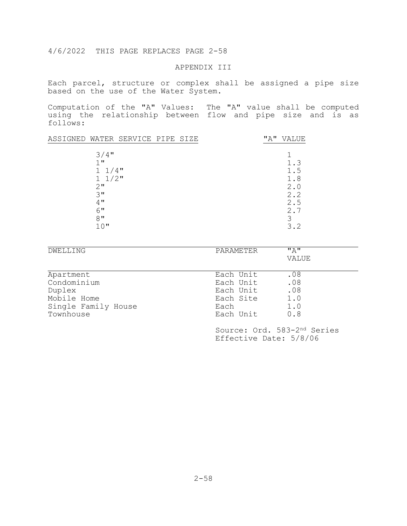## APPENDIX III

Each parcel, structure or complex shall be assigned a pipe size based on the use of the Water System.

Computation of the "A" Values: The "A" value shall be computed using the relationship between flow and pipe size and is as follows:

| ASSIGNED WATER SERVICE PIPE SIZE           | "A"<br>VALUE |
|--------------------------------------------|--------------|
| $3/4$ "<br>$1$ $\mathbf{u}$<br>$1 \t1/4$ " | 1.3<br>1.5   |
| $1 \t1/2$ "                                | 1.8          |
| 2"                                         | 2.0          |
| 3"                                         | 2.2          |
| 4"                                         | 2.5          |
| 6"                                         | 2.7          |
| $8$ "                                      | 3            |
| 10"                                        | 3.2          |

| DWELLING            | PARAMETER | $" \wedge"$<br>VALUE |  |
|---------------------|-----------|----------------------|--|
|                     |           |                      |  |
| Apartment           | Each Unit | .08                  |  |
| Condominium         | Each Unit | .08                  |  |
| Duplex              | Each Unit | .08                  |  |
| Mobile Home         | Each Site | 1.0                  |  |
| Single Family House | Each      | 1.0                  |  |
| Townhouse           | Each Unit | 0.8                  |  |

 Source: Ord. 583-2nd Series Effective Date: 5/8/06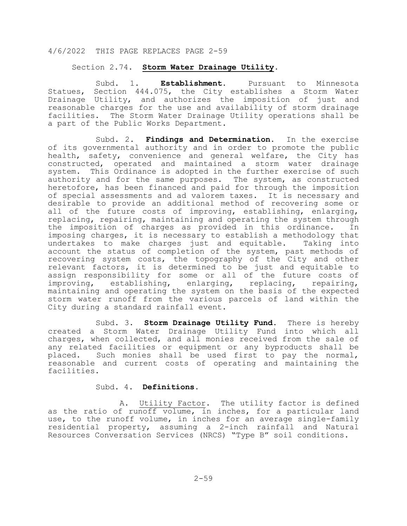### Section 2.74. **Storm Water Drainage Utility.**

Subd. 1. **Establishment.** Pursuant to Minnesota Statues, Section 444.075, the City establishes a Storm Water Drainage Utility, and authorizes the imposition of just and reasonable charges for the use and availability of storm drainage facilities. The Storm Water Drainage Utility operations shall be a part of the Public Works Department.

 Subd. 2. **Findings and Determination.** In the exercise of its governmental authority and in order to promote the public health, safety, convenience and general welfare, the City has constructed, operated and maintained a storm water drainage system. This Ordinance is adopted in the further exercise of such authority and for the same purposes. The system, as constructed heretofore, has been financed and paid for through the imposition of special assessments and ad valorem taxes. It is necessary and desirable to provide an additional method of recovering some or all of the future costs of improving, establishing, enlarging, replacing, repairing, maintaining and operating the system through<br>the imposition of charges as provided in this ordinance. In the imposition of charges as provided in this ordinance. imposing charges, it is necessary to establish a methodology that<br>undertakes to make charges just and equitable. Taking into undertakes to make charges just and equitable. account the status of completion of the system, past methods of recovering system costs, the topography of the City and other relevant factors, it is determined to be just and equitable to assign responsibility for some or all of the future costs of improving, establishing, enlarging, replacing, repairing, maintaining and operating the system on the basis of the expected storm water runoff from the various parcels of land within the City during a standard rainfall event.

 Subd. 3. **Storm Drainage Utility Fund.** There is hereby created a Storm Water Drainage Utility Fund into which all charges, when collected, and all monies received from the sale of any related facilities or equipment or any byproducts shall be placed. Such monies shall be used first to pay the normal, reasonable and current costs of operating and maintaining the facilities.

## Subd. 4. **Definitions.**

 A. Utility Factor. The utility factor is defined as the ratio of runoff volume, in inches, for a particular land use, to the runoff volume, in inches for an average single-family residential property, assuming a 2-inch rainfall and Natural Resources Conversation Services (NRCS) "Type B" soil conditions.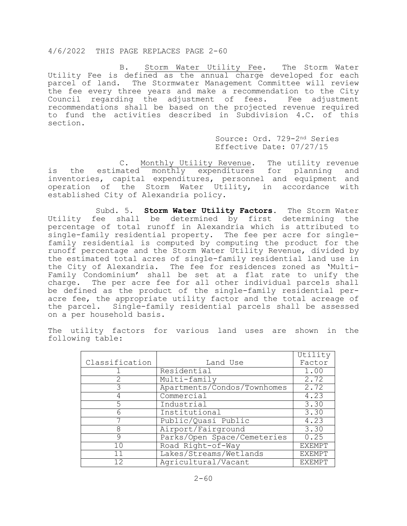B. Storm Water Utility Fee. The Storm Water Utility Fee is defined as the annual charge developed for each parcel of land. The Stormwater Management Committee will review the fee every three years and make a recommendation to the City Council regarding the adjustment of fees. Fee adjustment recommendations shall be based on the projected revenue required to fund the activities described in Subdivision 4.C. of this section.

> Source: Ord. 729-2nd Series Effective Date: 07/27/15

 C. Monthly Utility Revenue. The utility revenue is the estimated monthly expenditures for planning and inventories, capital expenditures, personnel and equipment and operation of the Storm Water Utility, in accordance with established City of Alexandria policy.

 Subd. 5. **Storm Water Utility Factors.** The Storm Water Utility fee shall be determined by first determining the percentage of total runoff in Alexandria which is attributed to single-family residential property. The fee per acre for singlefamily residential is computed by computing the product for the runoff percentage and the Storm Water Utility Revenue, divided by the estimated total acres of single-family residential land use in the City of Alexandria. The fee for residences zoned as 'Multi-Family Condominium' shall be set at a flat rate to unify the charge. The per acre fee for all other individual parcels shall<br>be defined as the product of the single-family residential peracre fee, the appropriate utility factor and the total acreage of the parcel. Single-family residential parcels shall be assessed on a per household basis.

The utility factors for various land uses are shown in the following table:

|                |                             | Utility           |
|----------------|-----------------------------|-------------------|
| Classification | Land Use                    | Factor            |
|                | Residential                 | 1.00              |
|                | Multi-family                | 2.72              |
|                | Apartments/Condos/Townhomes | 2.72              |
| 4              | Commercial                  | 4.23              |
|                | Industrial                  | 3.30              |
| 6              | Institutional               | $\overline{3.30}$ |
|                | Public/Quasi Public         | 4.23              |
| 8              | Airport/Fairground          | 3.30              |
| 9              | Parks/Open Space/Cemeteries | 0.25              |
| 10             | Road Right-of-Way           | <b>EXEMPT</b>     |
| 11             | Lakes/Streams/Wetlands      | <b>EXEMPT</b>     |
| 12             | Agricultural/Vacant         | <b>EXEMPT</b>     |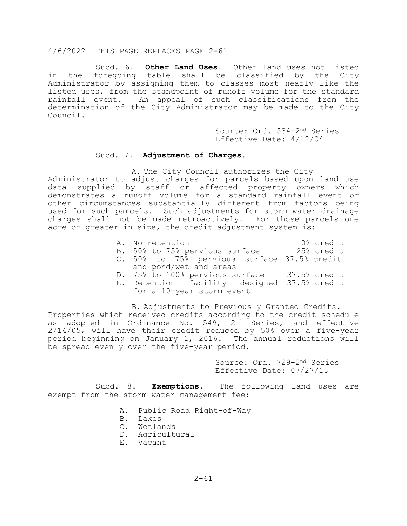Subd. 6. **Other Land Uses.** Other land uses not listed in the foregoing table shall be classified by the City Administrator by assigning them to classes most nearly like the listed uses, from the standpoint of runoff volume for the standard rainfall event. An appeal of such classifications from the determination of the City Administrator may be made to the City Council.

> Source: Ord. 534-2nd Series Effective Date: 4/12/04

#### Subd. 7. **Adjustment of Charges.**

A. The City Council authorizes the City Administrator to adjust charges for parcels based upon land use data supplied by staff or affected property owners which demonstrates a runoff volume for a standard rainfall event or other circumstances substantially different from factors being used for such parcels. Such adjustments for storm water drainage charges shall not be made retroactively. For those parcels one acre or greater in size, the credit adjustment system is:

- A. No retention  $0\%$  credit<br>B. 50% to 75% pervious surface  $25\%$  credit
- B. 50% to 75% pervious surface
- C. 50% to 75% pervious surface 37.5% credit
- and pond/wetland areas
- D. 75% to 100% pervious surface 37.5% credit
- E. Retention facility designed 37.5% credit for a 10-year storm event

B. Adjustments to Previously Granted Credits. Properties which received credits according to the credit schedule as adopted in Ordinance No. 549, 2<sup>nd Series, and effective</sup> 2/14/05, will have their credit reduced by 50% over a five-year period beginning on January 1, 2016. The annual reductions will be spread evenly over the five-year period.

> Source: Ord. 729-2nd Series Effective Date: 07/27/15

Subd. 8. **Exemptions.** The following land uses are exempt from the storm water management fee:

- A. Public Road Right-of-Way
- B. Lakes
- C. Wetlands
- D. Agricultural
- E. Vacant